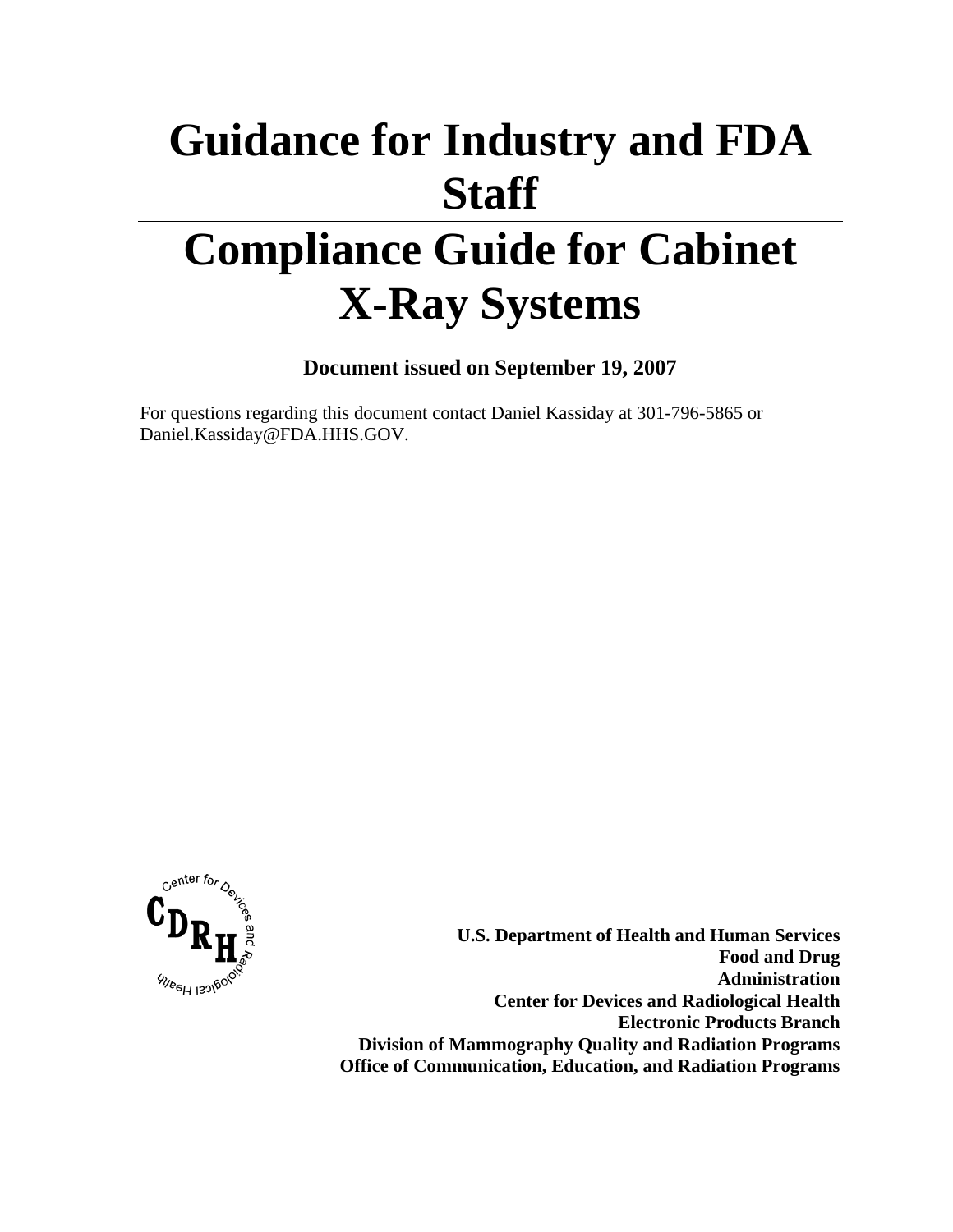# **Guidance for Industry and FDA Staff**

# **Compliance Guide for Cabinet X-Ray Systems**

**Document issued on September 19, 2007** 

For questions regarding this document contact Daniel Kassiday at 301-796-5865 or Daniel.Kassiday@FDA.HHS.GOV.



**U.S. Department of Health and Human Services Food and Drug Administration Center for Devices and Radiological Health Electronic Products Branch Division of Mammography Quality and Radiation Programs Office of Communication, Education, and Radiation Programs**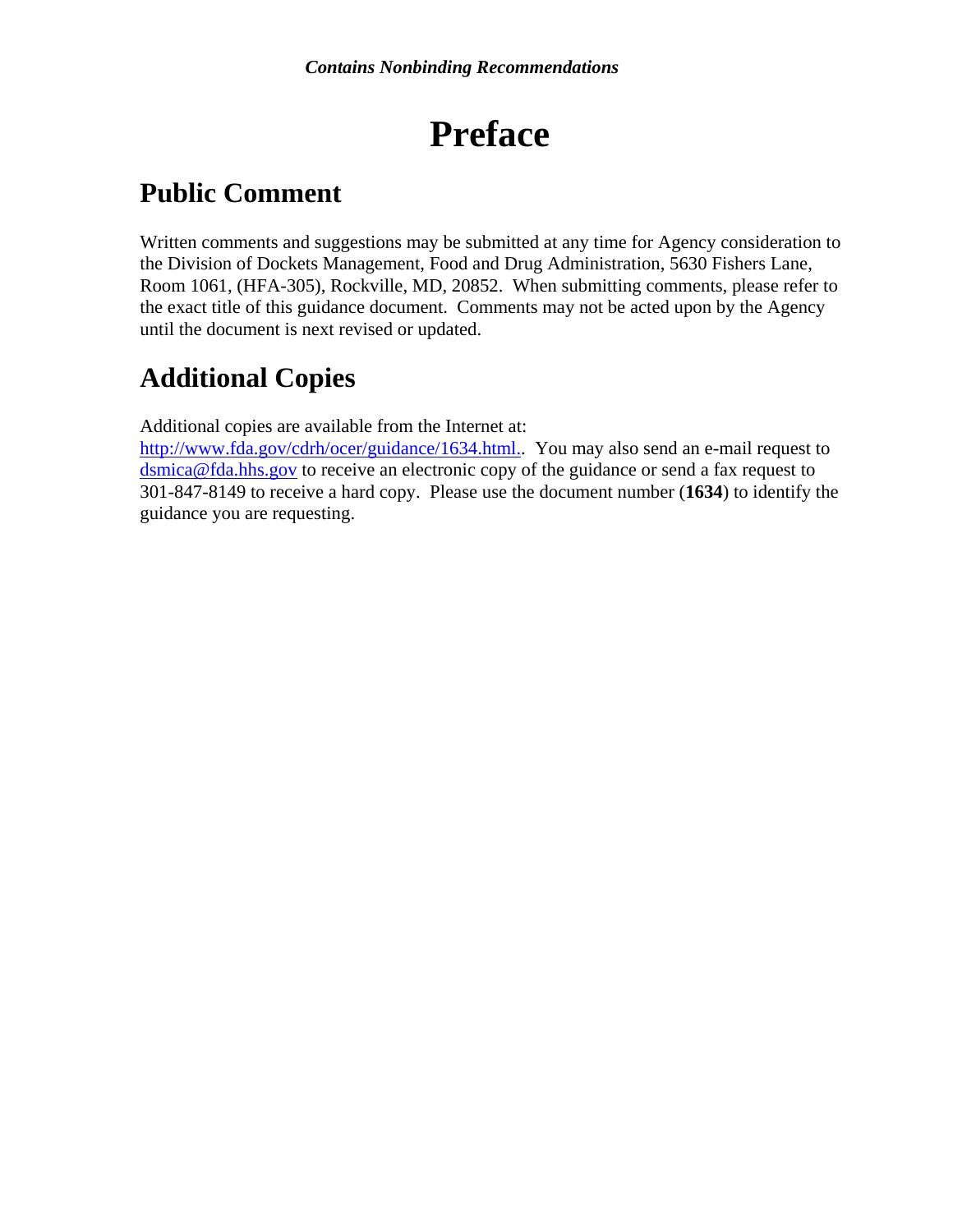# **Preface**

# **Public Comment**

Written comments and suggestions may be submitted at any time for Agency consideration to the Division of Dockets Management, Food and Drug Administration, 5630 Fishers Lane, Room 1061, (HFA-305), Rockville, MD, 20852. When submitting comments, please refer to the exact title of this guidance document. Comments may not be acted upon by the Agency until the document is next revised or updated.

# **Additional Copies**

Additional copies are available from the Internet at:

[http://www.fda.gov/cdrh/ocer/guidance/1634.html..](http://www.fda.gov/cdrh/ocer/guidance/1634.html.) You may also send an e-mail request to [dsmica@fda.hhs.gov](mailto:dsmica@fda.hhs.gov) to receive an electronic copy of the guidance or send a fax request to 301-847-8149 to receive a hard copy. Please use the document number (**1634**) to identify the guidance you are requesting.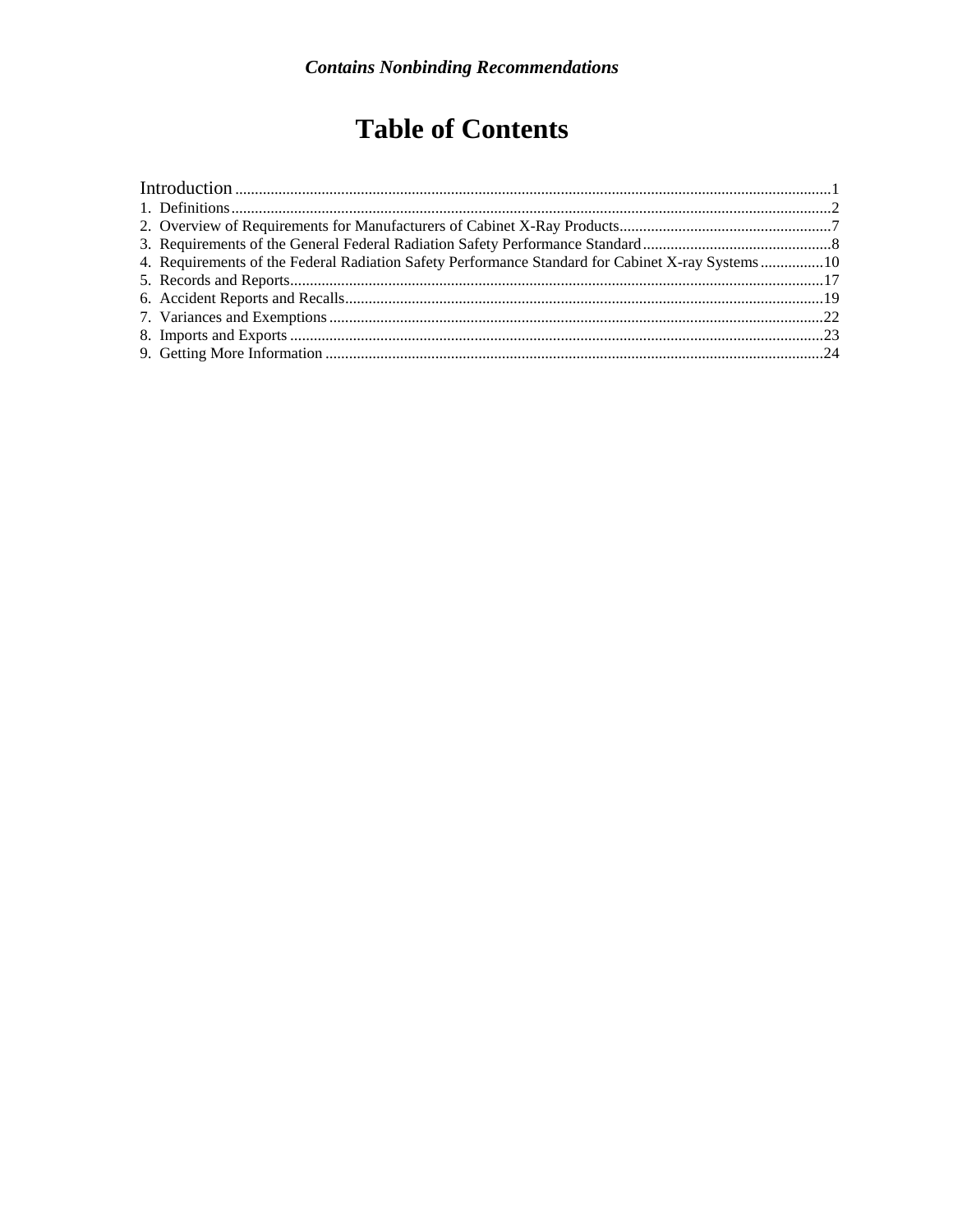# **Table of Contents**

|  | 4. Requirements of the Federal Radiation Safety Performance Standard for Cabinet X-ray Systems10 |  |
|--|--------------------------------------------------------------------------------------------------|--|
|  |                                                                                                  |  |
|  |                                                                                                  |  |
|  |                                                                                                  |  |
|  |                                                                                                  |  |
|  |                                                                                                  |  |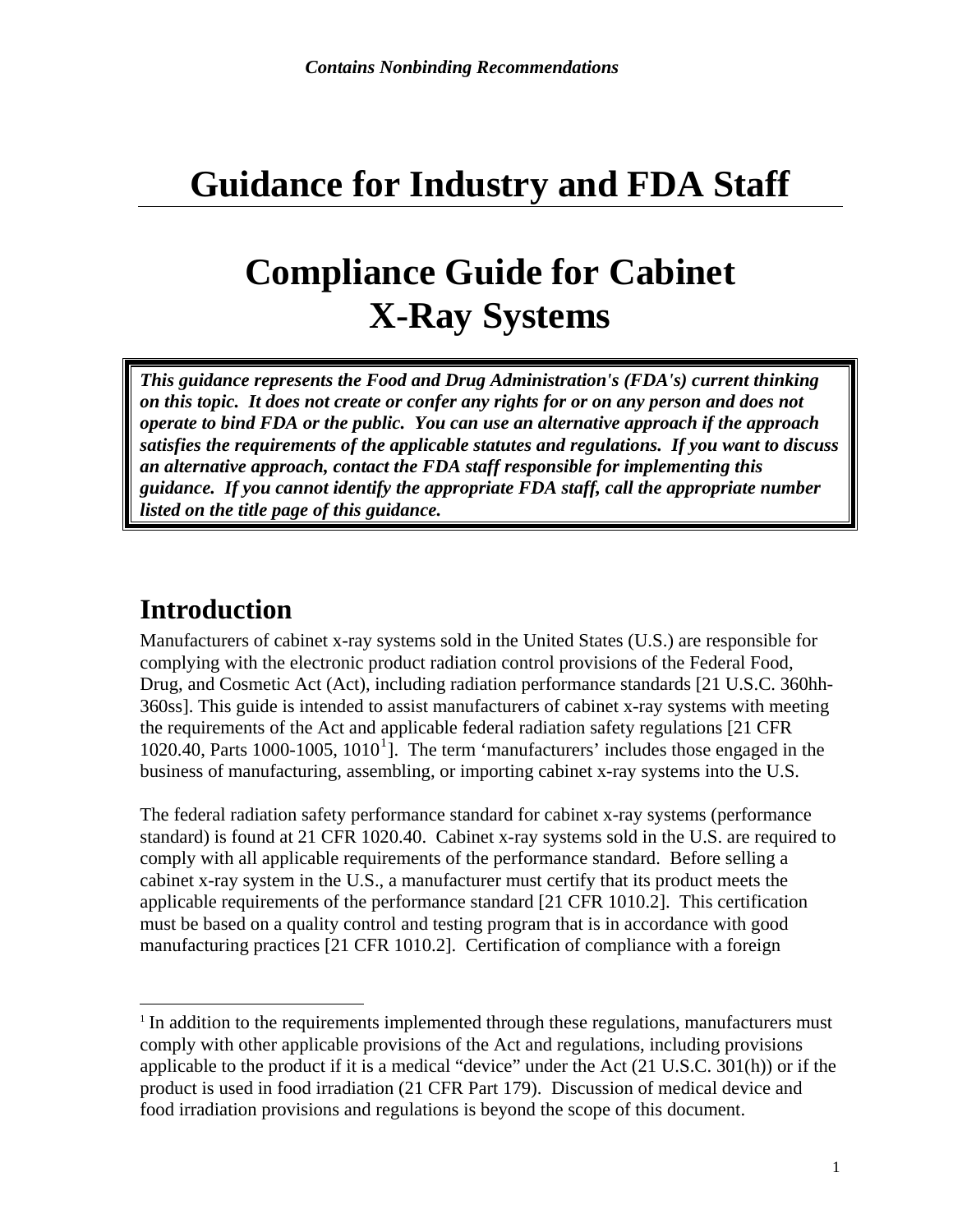# <span id="page-3-0"></span>**Guidance for Industry and FDA Staff**

# **Compliance Guide for Cabinet X-Ray Systems**

*This guidance represents the Food and Drug Administration's (FDA's) current thinking on this topic. It does not create or confer any rights for or on any person and does not operate to bind FDA or the public. You can use an alternative approach if the approach satisfies the requirements of the applicable statutes and regulations. If you want to discuss an alternative approach, contact the FDA staff responsible for implementing this guidance. If you cannot identify the appropriate FDA staff, call the appropriate number listed on the title page of this guidance.* 

### **Introduction**

 $\overline{a}$ 

Manufacturers of cabinet x-ray systems sold in the United States (U.S.) are responsible for complying with the electronic product radiation control provisions of the Federal Food, Drug, and Cosmetic Act (Act), including radiation performance standards [21 U.S.C. 360hh-360ss]. This guide is intended to assist manufacturers of cabinet x-ray systems with meeting the requirements of the Act and applicable federal radiation safety regulations [21 CFR  $1020.40$  $1020.40$ , Parts  $1000-1005$ ,  $1010<sup>1</sup>$ ]. The term 'manufacturers' includes those engaged in the business of manufacturing, assembling, or importing cabinet x-ray systems into the U.S.

The federal radiation safety performance standard for cabinet x-ray systems (performance standard) is found at 21 CFR 1020.40. Cabinet x-ray systems sold in the U.S. are required to comply with all applicable requirements of the performance standard. Before selling a cabinet x-ray system in the U.S., a manufacturer must certify that its product meets the applicable requirements of the performance standard [21 CFR 1010.2]. This certification must be based on a quality control and testing program that is in accordance with good manufacturing practices [21 CFR 1010.2]. Certification of compliance with a foreign

<span id="page-3-1"></span> $1$  In addition to the requirements implemented through these regulations, manufacturers must comply with other applicable provisions of the Act and regulations, including provisions applicable to the product if it is a medical "device" under the Act (21 U.S.C. 301(h)) or if the product is used in food irradiation (21 CFR Part 179). Discussion of medical device and food irradiation provisions and regulations is beyond the scope of this document.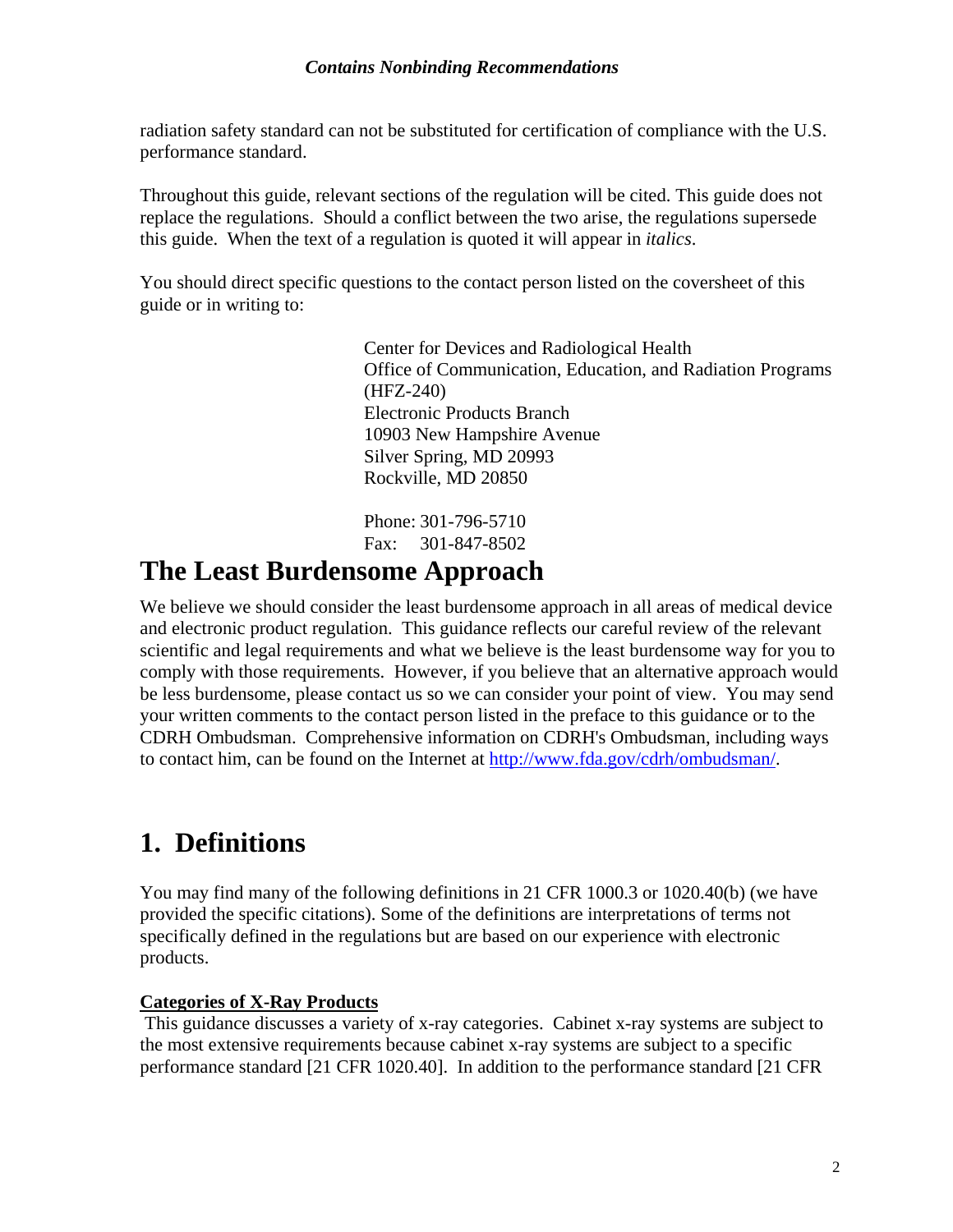<span id="page-4-0"></span>radiation safety standard can not be substituted for certification of compliance with the U.S. performance standard.

Throughout this guide, relevant sections of the regulation will be cited. This guide does not replace the regulations. Should a conflict between the two arise, the regulations supersede this guide. When the text of a regulation is quoted it will appear in *italics*.

You should direct specific questions to the contact person listed on the coversheet of this guide or in writing to:

> Center for Devices and Radiological Health Office of Communication, Education, and Radiation Programs (HFZ-240) Electronic Products Branch 10903 New Hampshire Avenue Silver Spring, MD 20993 Rockville, MD 20850

Phone: 301-796-5710 Fax: 301-847-8502

### **The Least Burdensome Approach**

We believe we should consider the least burdensome approach in all areas of medical device and electronic product regulation. This guidance reflects our careful review of the relevant scientific and legal requirements and what we believe is the least burdensome way for you to comply with those requirements. However, if you believe that an alternative approach would be less burdensome, please contact us so we can consider your point of view. You may send your written comments to the contact person listed in the preface to this guidance or to the CDRH Ombudsman. Comprehensive information on CDRH's Ombudsman, including ways to contact him, can be found on the Internet at <http://www.fda.gov/cdrh/ombudsman/>.

# **1. Definitions**

You may find many of the following definitions in 21 CFR 1000.3 or 1020.40(b) (we have provided the specific citations). Some of the definitions are interpretations of terms not specifically defined in the regulations but are based on our experience with electronic products.

#### **Categories of X-Ray Products**

 This guidance discusses a variety of x-ray categories. Cabinet x-ray systems are subject to the most extensive requirements because cabinet x-ray systems are subject to a specific performance standard [21 CFR 1020.40]. In addition to the performance standard [21 CFR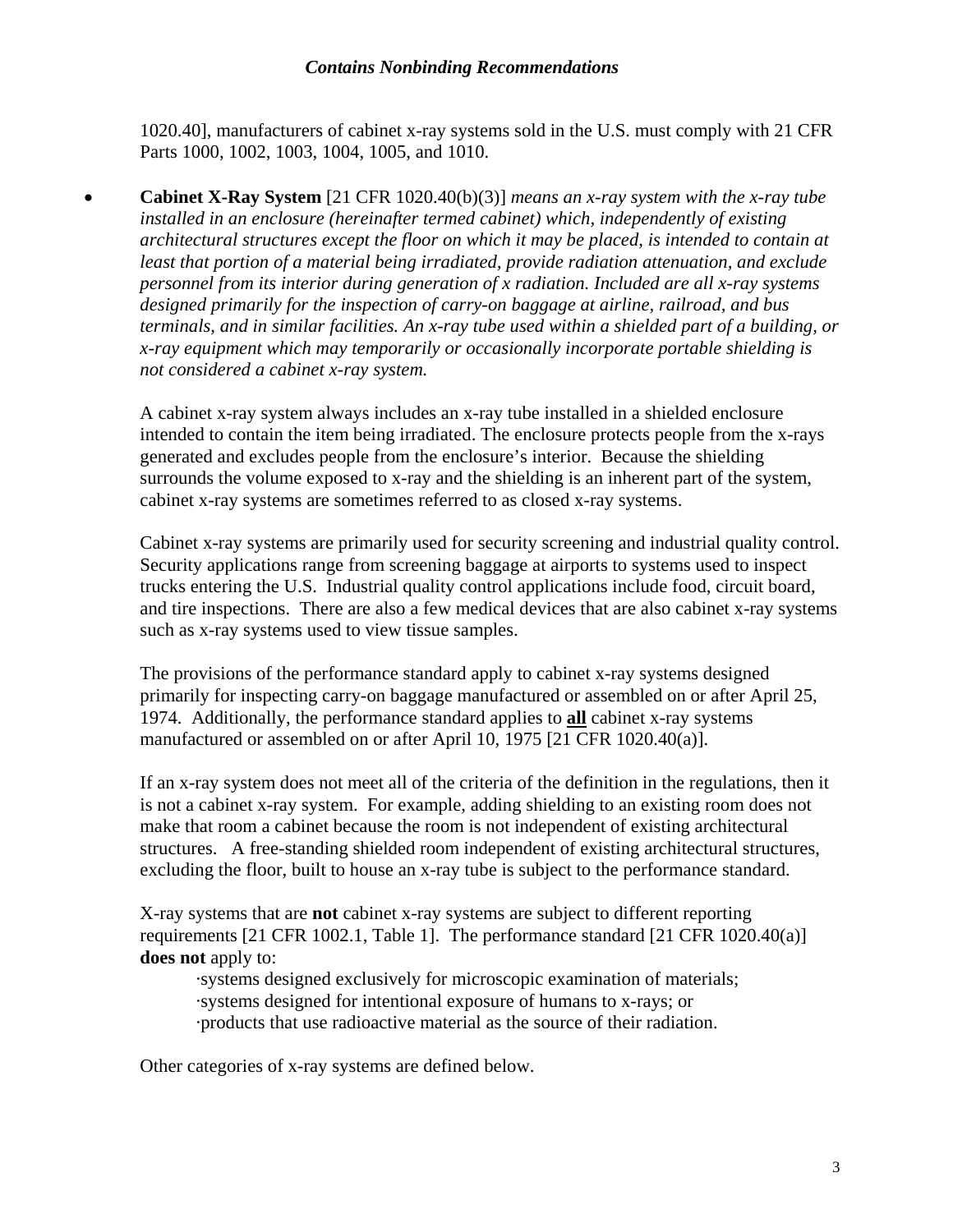1020.40], manufacturers of cabinet x-ray systems sold in the U.S. must comply with 21 CFR Parts 1000, 1002, 1003, 1004, 1005, and 1010.

• **Cabinet X-Ray System** [21 CFR 1020.40(b)(3)] *means an x-ray system with the x-ray tube installed in an enclosure (hereinafter termed cabinet) which, independently of existing architectural structures except the floor on which it may be placed, is intended to contain at least that portion of a material being irradiated, provide radiation attenuation, and exclude personnel from its interior during generation of x radiation. Included are all x-ray systems designed primarily for the inspection of carry-on baggage at airline, railroad, and bus terminals, and in similar facilities. An x-ray tube used within a shielded part of a building, or x-ray equipment which may temporarily or occasionally incorporate portable shielding is not considered a cabinet x-ray system.* 

A cabinet x-ray system always includes an x-ray tube installed in a shielded enclosure intended to contain the item being irradiated. The enclosure protects people from the x-rays generated and excludes people from the enclosure's interior. Because the shielding surrounds the volume exposed to x-ray and the shielding is an inherent part of the system, cabinet x-ray systems are sometimes referred to as closed x-ray systems.

Cabinet x-ray systems are primarily used for security screening and industrial quality control. Security applications range from screening baggage at airports to systems used to inspect trucks entering the U.S. Industrial quality control applications include food, circuit board, and tire inspections. There are also a few medical devices that are also cabinet x-ray systems such as x-ray systems used to view tissue samples.

The provisions of the performance standard apply to cabinet x-ray systems designed primarily for inspecting carry-on baggage manufactured or assembled on or after April 25, 1974. Additionally, the performance standard applies to **all** cabinet x-ray systems manufactured or assembled on or after April 10, 1975 [21 CFR 1020.40(a)].

If an x-ray system does not meet all of the criteria of the definition in the regulations, then it is not a cabinet x-ray system. For example, adding shielding to an existing room does not make that room a cabinet because the room is not independent of existing architectural structures. A free-standing shielded room independent of existing architectural structures, excluding the floor, built to house an x-ray tube is subject to the performance standard.

X-ray systems that are **not** cabinet x-ray systems are subject to different reporting requirements [21 CFR 1002.1, Table 1]. The performance standard [21 CFR 1020.40(a)] **does not** apply to:

·systems designed exclusively for microscopic examination of materials; ·systems designed for intentional exposure of humans to x-rays; or ·products that use radioactive material as the source of their radiation.

Other categories of x-ray systems are defined below.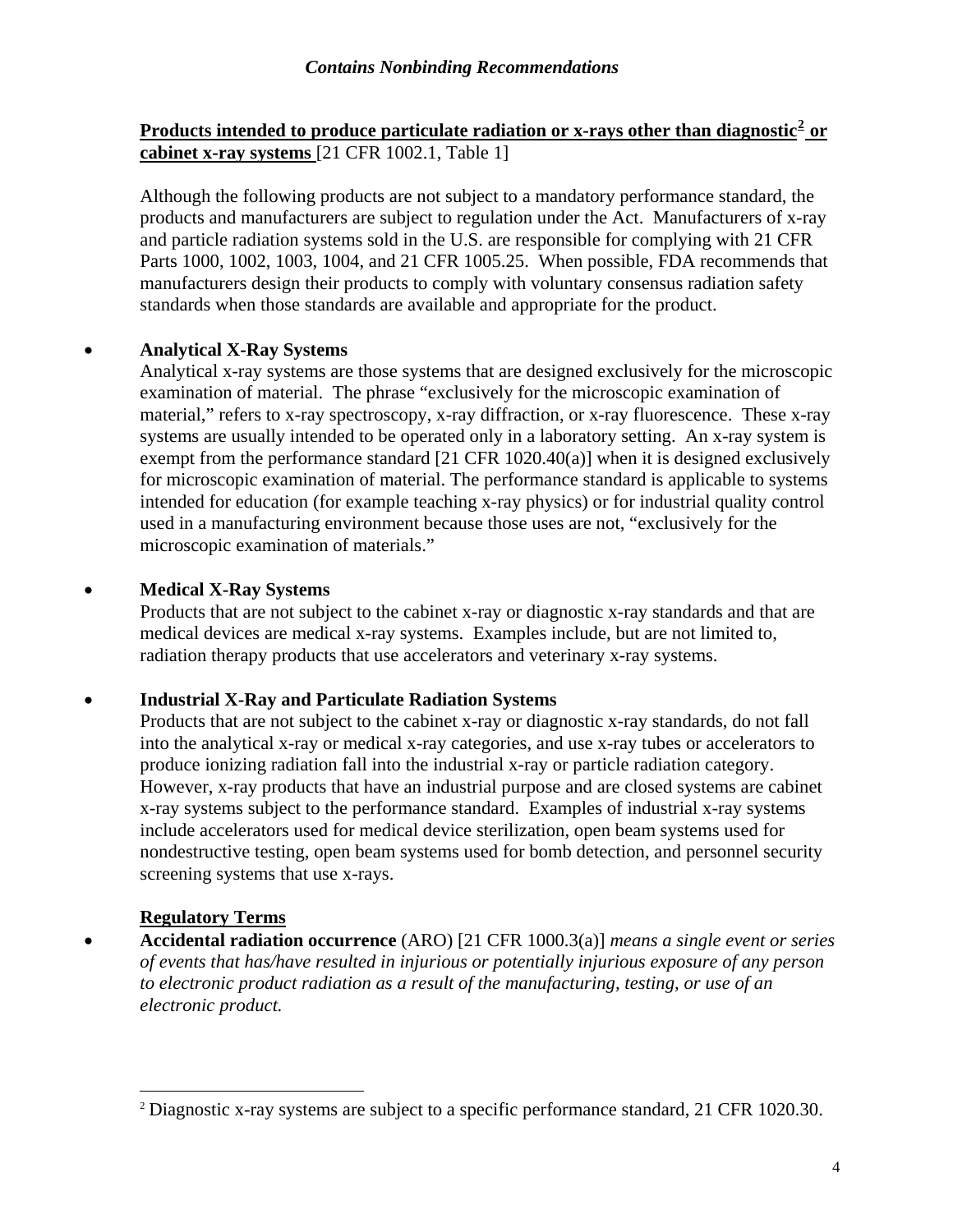#### **Products intended to produce particulate radiation or x-rays other than diagnostic[2](#page-6-0) or cabinet x-ray systems** [21 CFR 1002.1, Table 1]

Although the following products are not subject to a mandatory performance standard, the products and manufacturers are subject to regulation under the Act. Manufacturers of x-ray and particle radiation systems sold in the U.S. are responsible for complying with 21 CFR Parts 1000, 1002, 1003, 1004, and 21 CFR 1005.25. When possible, FDA recommends that manufacturers design their products to comply with voluntary consensus radiation safety standards when those standards are available and appropriate for the product.

#### • **Analytical X-Ray Systems**

Analytical x-ray systems are those systems that are designed exclusively for the microscopic examination of material. The phrase "exclusively for the microscopic examination of material," refers to x-ray spectroscopy, x-ray diffraction, or x-ray fluorescence. These x-ray systems are usually intended to be operated only in a laboratory setting. An x-ray system is exempt from the performance standard [21 CFR 1020.40(a)] when it is designed exclusively for microscopic examination of material. The performance standard is applicable to systems intended for education (for example teaching x-ray physics) or for industrial quality control used in a manufacturing environment because those uses are not, "exclusively for the microscopic examination of materials."

#### • **Medical X-Ray Systems**

Products that are not subject to the cabinet x-ray or diagnostic x-ray standards and that are medical devices are medical x-ray systems. Examples include, but are not limited to, radiation therapy products that use accelerators and veterinary x-ray systems.

#### • **Industrial X-Ray and Particulate Radiation Systems**

Products that are not subject to the cabinet x-ray or diagnostic x-ray standards, do not fall into the analytical x-ray or medical x-ray categories, and use x-ray tubes or accelerators to produce ionizing radiation fall into the industrial x-ray or particle radiation category. However, x-ray products that have an industrial purpose and are closed systems are cabinet x-ray systems subject to the performance standard. Examples of industrial x-ray systems include accelerators used for medical device sterilization, open beam systems used for nondestructive testing, open beam systems used for bomb detection, and personnel security screening systems that use x-rays.

#### **Regulatory Terms**

 $\overline{a}$ 

• **Accidental radiation occurrence** (ARO) [21 CFR 1000.3(a)] *means a single event or series of events that has/have resulted in injurious or potentially injurious exposure of any person to electronic product radiation as a result of the manufacturing, testing, or use of an electronic product.*

<span id="page-6-0"></span><sup>&</sup>lt;sup>2</sup> Diagnostic x-ray systems are subject to a specific performance standard, 21 CFR 1020.30.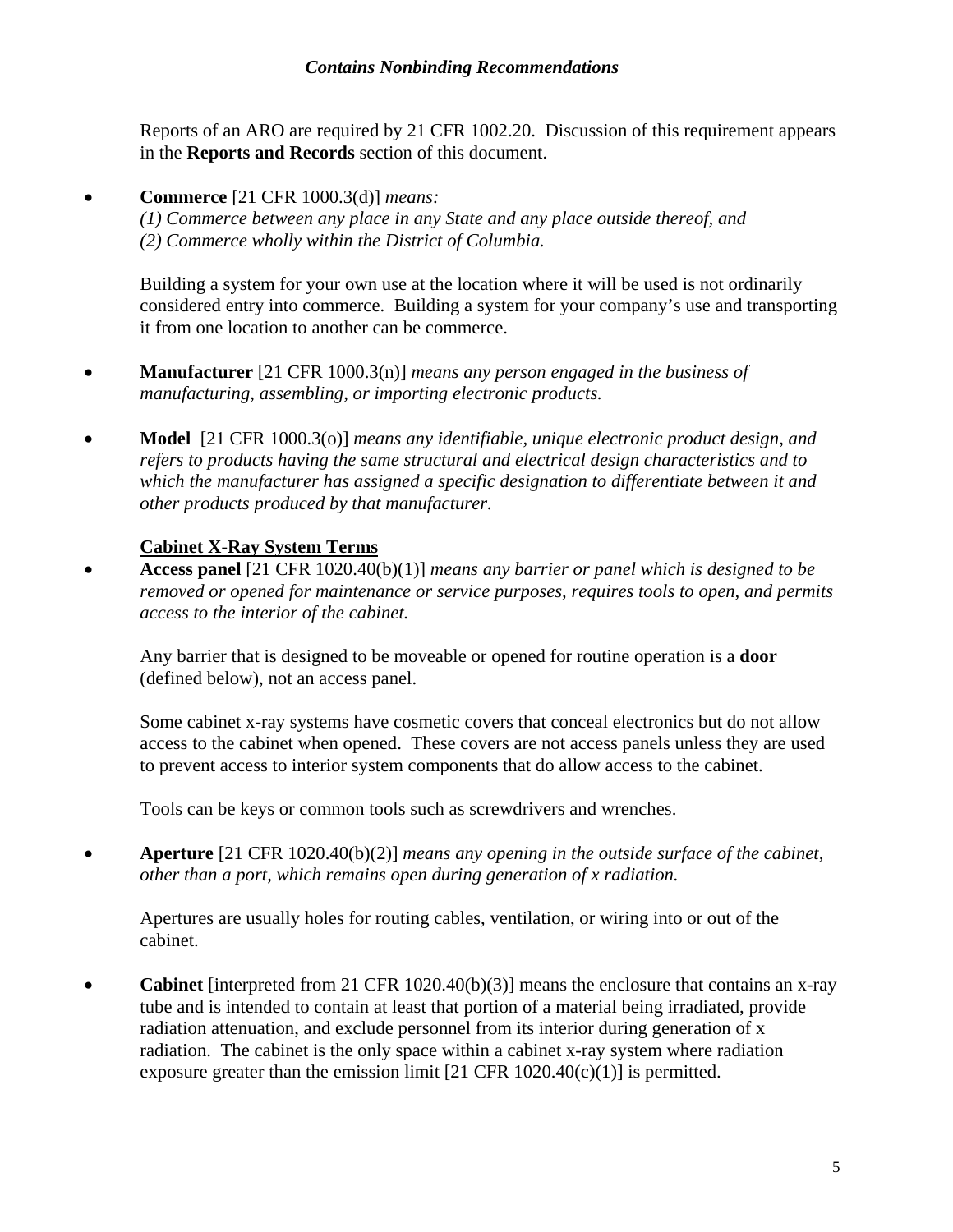Reports of an ARO are required by 21 CFR 1002.20. Discussion of this requirement appears in the **Reports and Records** section of this document.

• **Commerce** [21 CFR 1000.3(d)] *means:* 

*(1) Commerce between any place in any State and any place outside thereof, and (2) Commerce wholly within the District of Columbia.* 

Building a system for your own use at the location where it will be used is not ordinarily considered entry into commerce. Building a system for your company's use and transporting it from one location to another can be commerce.

- **Manufacturer** [21 CFR 1000.3(n)] *means any person engaged in the business of manufacturing, assembling, or importing electronic products.*
- **Model** [21 CFR 1000.3(o)] *means any identifiable, unique electronic product design, and refers to products having the same structural and electrical design characteristics and to which the manufacturer has assigned a specific designation to differentiate between it and other products produced by that manufacturer.*

#### **Cabinet X-Ray System Terms**

• **Access panel** [21 CFR 1020.40(b)(1)] *means any barrier or panel which is designed to be removed or opened for maintenance or service purposes, requires tools to open, and permits access to the interior of the cabinet.*

Any barrier that is designed to be moveable or opened for routine operation is a **door** (defined below), not an access panel.

Some cabinet x-ray systems have cosmetic covers that conceal electronics but do not allow access to the cabinet when opened. These covers are not access panels unless they are used to prevent access to interior system components that do allow access to the cabinet.

Tools can be keys or common tools such as screwdrivers and wrenches.

• **Aperture** [21 CFR 1020.40(b)(2)] *means any opening in the outside surface of the cabinet, other than a port, which remains open during generation of x radiation.*

Apertures are usually holes for routing cables, ventilation, or wiring into or out of the cabinet.

• **Cabinet** [interpreted from 21 CFR 1020.40(b)(3)] means the enclosure that contains an x-ray tube and is intended to contain at least that portion of a material being irradiated, provide radiation attenuation, and exclude personnel from its interior during generation of x radiation. The cabinet is the only space within a cabinet x-ray system where radiation exposure greater than the emission limit  $[21 \text{ CFR } 1020.40(c)(1)]$  is permitted.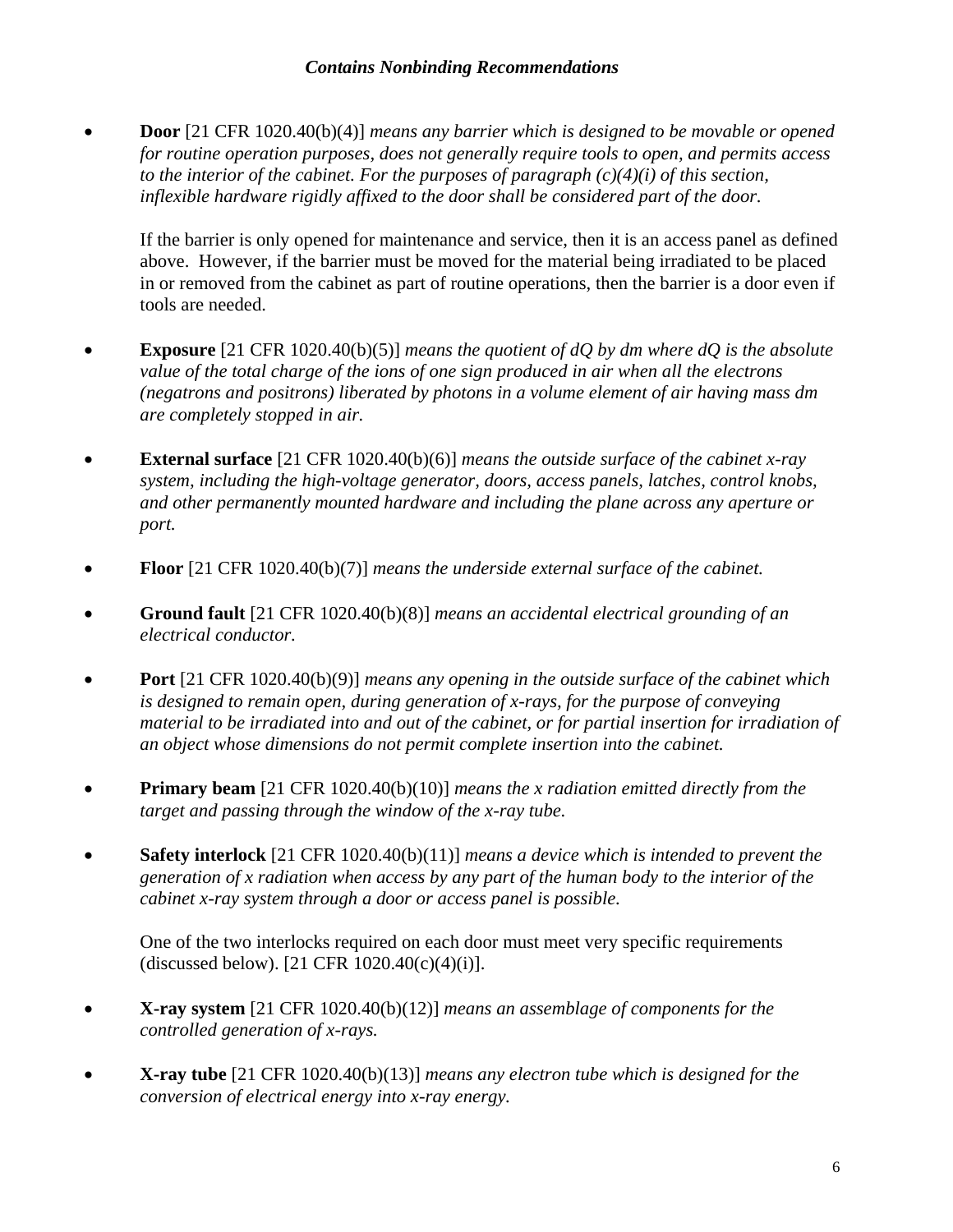• **Door** [21 CFR 1020.40(b)(4)] *means any barrier which is designed to be movable or opened for routine operation purposes, does not generally require tools to open, and permits access to the interior of the cabinet. For the purposes of paragraph*  $(c)(4)(i)$  *of this section, inflexible hardware rigidly affixed to the door shall be considered part of the door.*

If the barrier is only opened for maintenance and service, then it is an access panel as defined above. However, if the barrier must be moved for the material being irradiated to be placed in or removed from the cabinet as part of routine operations, then the barrier is a door even if tools are needed.

- **Exposure** [21 CFR 1020.40(b)(5)] *means the quotient of dQ by dm where dQ is the absolute value of the total charge of the ions of one sign produced in air when all the electrons (negatrons and positrons) liberated by photons in a volume element of air having mass dm are completely stopped in air.*
- **External surface** [21 CFR 1020.40(b)(6)] *means the outside surface of the cabinet x-ray system, including the high-voltage generator, doors, access panels, latches, control knobs, and other permanently mounted hardware and including the plane across any aperture or port.*
- **Floor** [21 CFR 1020.40(b)(7)] *means the underside external surface of the cabinet.*
- **Ground fault** [21 CFR 1020.40(b)(8)] *means an accidental electrical grounding of an electrical conductor.*
- **Port** [21 CFR 1020.40(b)(9)] *means any opening in the outside surface of the cabinet which is designed to remain open, during generation of x-rays, for the purpose of conveying material to be irradiated into and out of the cabinet, or for partial insertion for irradiation of an object whose dimensions do not permit complete insertion into the cabinet.*
- **Primary beam** [21 CFR 1020.40(b)(10)] *means the x radiation emitted directly from the target and passing through the window of the x-ray tube.*
- **Safety interlock** [21 CFR 1020.40(b)(11)] *means a device which is intended to prevent the generation of x radiation when access by any part of the human body to the interior of the cabinet x-ray system through a door or access panel is possible.*

One of the two interlocks required on each door must meet very specific requirements (discussed below). [21 CFR  $1020.40(c)(4)(i)$ ].

- **X-ray system** [21 CFR 1020.40(b)(12)] *means an assemblage of components for the controlled generation of x-rays.*
- **X-ray tube** [21 CFR 1020.40(b)(13)] *means any electron tube which is designed for the conversion of electrical energy into x-ray energy.*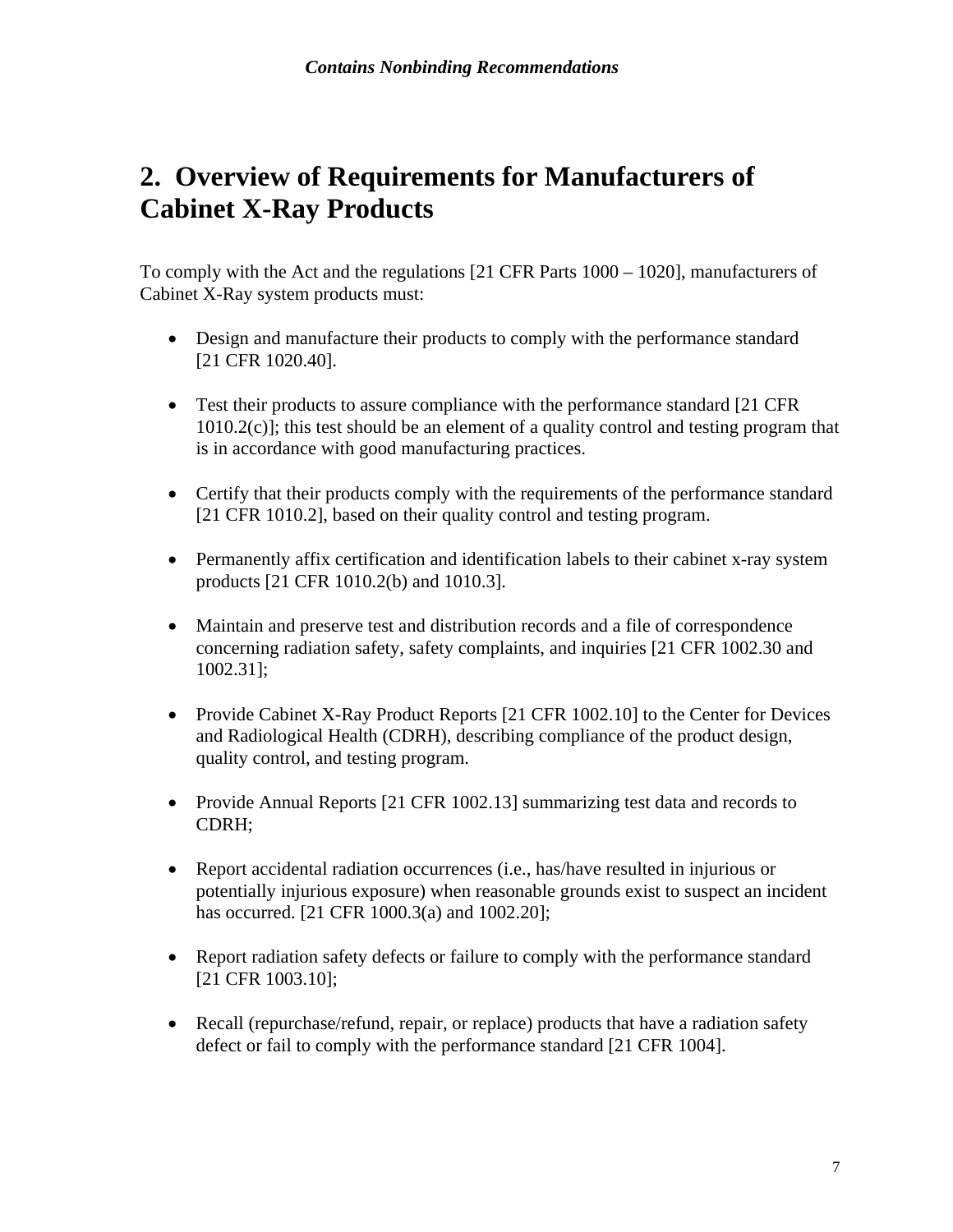# <span id="page-9-0"></span>**2. Overview of Requirements for Manufacturers of Cabinet X-Ray Products**

To comply with the Act and the regulations [21 CFR Parts 1000 – 1020], manufacturers of Cabinet X-Ray system products must:

- Design and manufacture their products to comply with the performance standard [21 CFR 1020.40].
- Test their products to assure compliance with the performance standard [21 CFR] 1010.2(c)]; this test should be an element of a quality control and testing program that is in accordance with good manufacturing practices.
- Certify that their products comply with the requirements of the performance standard [21 CFR 1010.2], based on their quality control and testing program.
- Permanently affix certification and identification labels to their cabinet x-ray system products [21 CFR 1010.2(b) and 1010.3].
- Maintain and preserve test and distribution records and a file of correspondence concerning radiation safety, safety complaints, and inquiries [21 CFR 1002.30 and 1002.31];
- Provide Cabinet X-Ray Product Reports [21 CFR 1002.10] to the Center for Devices and Radiological Health (CDRH), describing compliance of the product design, quality control, and testing program.
- Provide Annual Reports [21 CFR 1002.13] summarizing test data and records to CDRH;
- Report accidental radiation occurrences (i.e., has/have resulted in injurious or potentially injurious exposure) when reasonable grounds exist to suspect an incident has occurred. [21 CFR 1000.3(a) and 1002.20];
- Report radiation safety defects or failure to comply with the performance standard [21 CFR 1003.10];
- Recall (repurchase/refund, repair, or replace) products that have a radiation safety defect or fail to comply with the performance standard [21 CFR 1004].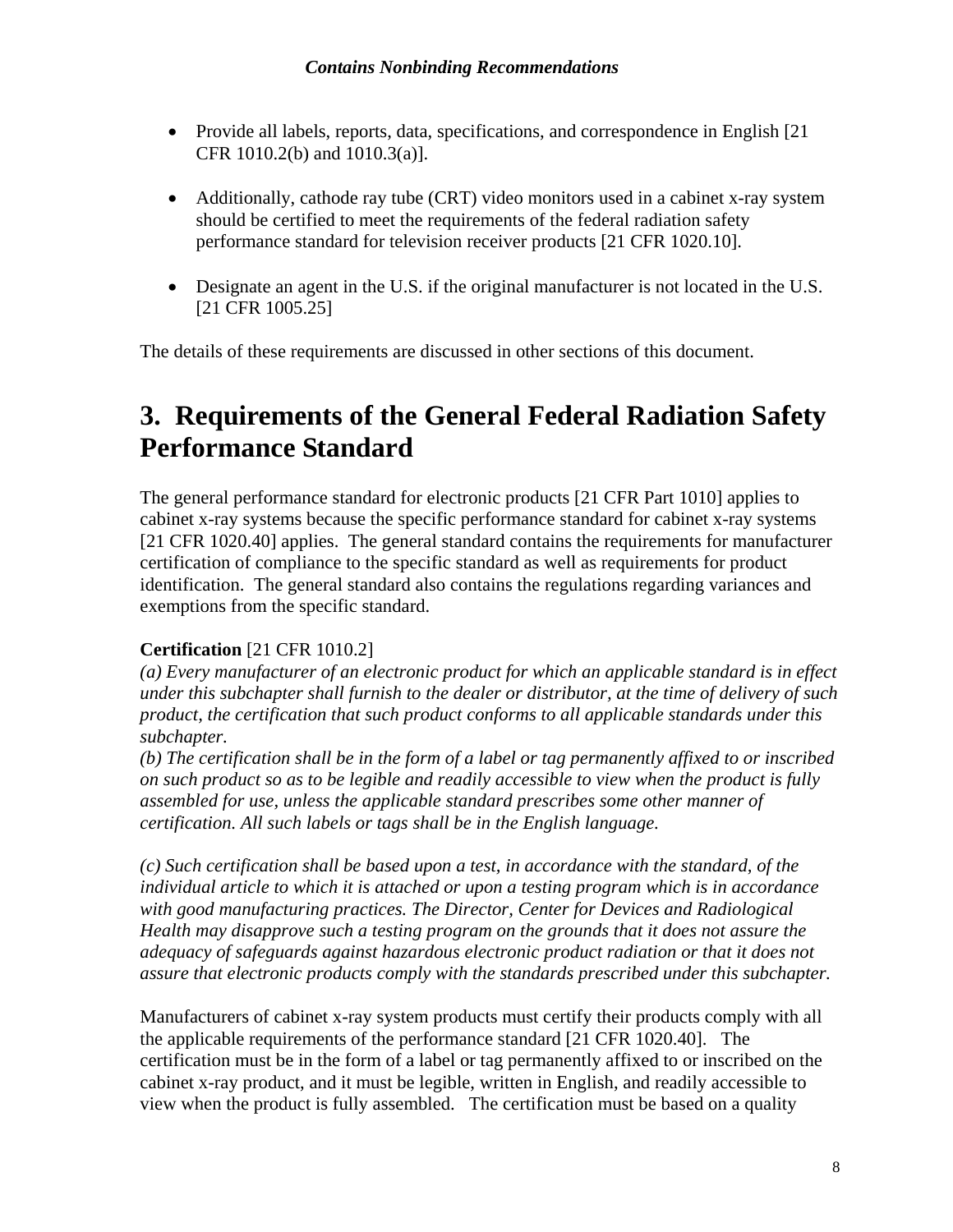- <span id="page-10-0"></span>• Provide all labels, reports, data, specifications, and correspondence in English [21] CFR 1010.2(b) and 1010.3(a)].
- Additionally, cathode ray tube (CRT) video monitors used in a cabinet x-ray system should be certified to meet the requirements of the federal radiation safety performance standard for television receiver products [21 CFR 1020.10].
- Designate an agent in the U.S. if the original manufacturer is not located in the U.S. [21 CFR 1005.25]

The details of these requirements are discussed in other sections of this document.

# **3. Requirements of the General Federal Radiation Safety Performance Standard**

The general performance standard for electronic products [21 CFR Part 1010] applies to cabinet x-ray systems because the specific performance standard for cabinet x-ray systems [21 CFR 1020.40] applies. The general standard contains the requirements for manufacturer certification of compliance to the specific standard as well as requirements for product identification. The general standard also contains the regulations regarding variances and exemptions from the specific standard.

#### **Certification** [21 CFR 1010.2]

*(a) Every manufacturer of an electronic product for which an applicable standard is in effect under this subchapter shall furnish to the dealer or distributor, at the time of delivery of such product, the certification that such product conforms to all applicable standards under this subchapter.* 

*(b) The certification shall be in the form of a label or tag permanently affixed to or inscribed on such product so as to be legible and readily accessible to view when the product is fully assembled for use, unless the applicable standard prescribes some other manner of certification. All such labels or tags shall be in the English language.* 

*(c) Such certification shall be based upon a test, in accordance with the standard, of the individual article to which it is attached or upon a testing program which is in accordance with good manufacturing practices. The Director, Center for Devices and Radiological Health may disapprove such a testing program on the grounds that it does not assure the adequacy of safeguards against hazardous electronic product radiation or that it does not assure that electronic products comply with the standards prescribed under this subchapter.* 

Manufacturers of cabinet x-ray system products must certify their products comply with all the applicable requirements of the performance standard [21 CFR 1020.40]. The certification must be in the form of a label or tag permanently affixed to or inscribed on the cabinet x-ray product, and it must be legible, written in English, and readily accessible to view when the product is fully assembled. The certification must be based on a quality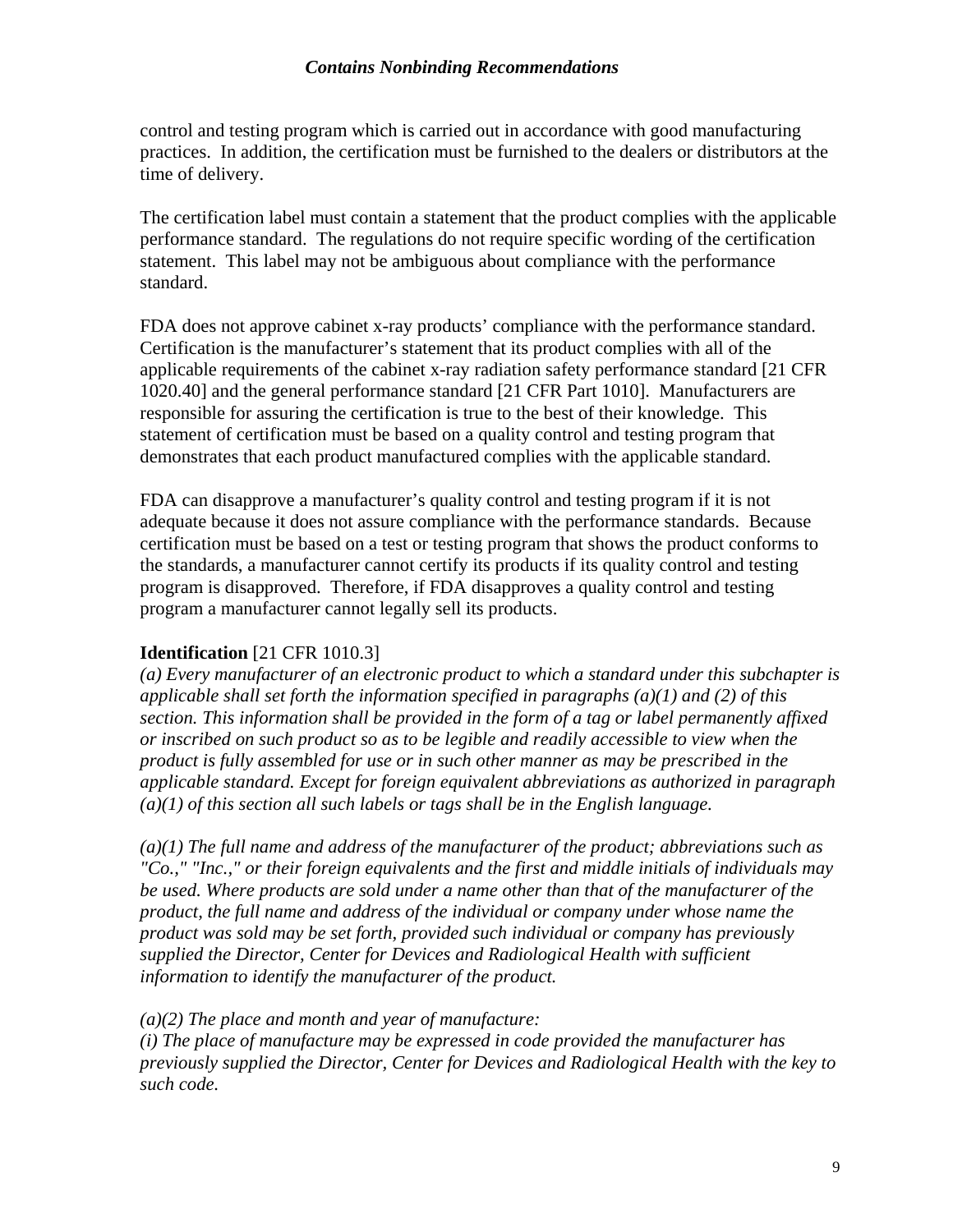control and testing program which is carried out in accordance with good manufacturing practices. In addition, the certification must be furnished to the dealers or distributors at the time of delivery.

The certification label must contain a statement that the product complies with the applicable performance standard. The regulations do not require specific wording of the certification statement. This label may not be ambiguous about compliance with the performance standard.

FDA does not approve cabinet x-ray products' compliance with the performance standard. Certification is the manufacturer's statement that its product complies with all of the applicable requirements of the cabinet x-ray radiation safety performance standard [21 CFR 1020.40] and the general performance standard [21 CFR Part 1010]. Manufacturers are responsible for assuring the certification is true to the best of their knowledge. This statement of certification must be based on a quality control and testing program that demonstrates that each product manufactured complies with the applicable standard.

FDA can disapprove a manufacturer's quality control and testing program if it is not adequate because it does not assure compliance with the performance standards. Because certification must be based on a test or testing program that shows the product conforms to the standards, a manufacturer cannot certify its products if its quality control and testing program is disapproved. Therefore, if FDA disapproves a quality control and testing program a manufacturer cannot legally sell its products.

#### **Identification** [21 CFR 1010.3]

*(a) Every manufacturer of an electronic product to which a standard under this subchapter is applicable shall set forth the information specified in paragraphs (a)(1) and (2) of this section. This information shall be provided in the form of a tag or label permanently affixed or inscribed on such product so as to be legible and readily accessible to view when the product is fully assembled for use or in such other manner as may be prescribed in the applicable standard. Except for foreign equivalent abbreviations as authorized in paragraph (a)(1) of this section all such labels or tags shall be in the English language.* 

*(a)(1) The full name and address of the manufacturer of the product; abbreviations such as "Co.," "Inc.," or their foreign equivalents and the first and middle initials of individuals may be used. Where products are sold under a name other than that of the manufacturer of the product, the full name and address of the individual or company under whose name the product was sold may be set forth, provided such individual or company has previously supplied the Director, Center for Devices and Radiological Health with sufficient information to identify the manufacturer of the product.* 

*(a)(2) The place and month and year of manufacture:* 

*(i) The place of manufacture may be expressed in code provided the manufacturer has previously supplied the Director, Center for Devices and Radiological Health with the key to such code.*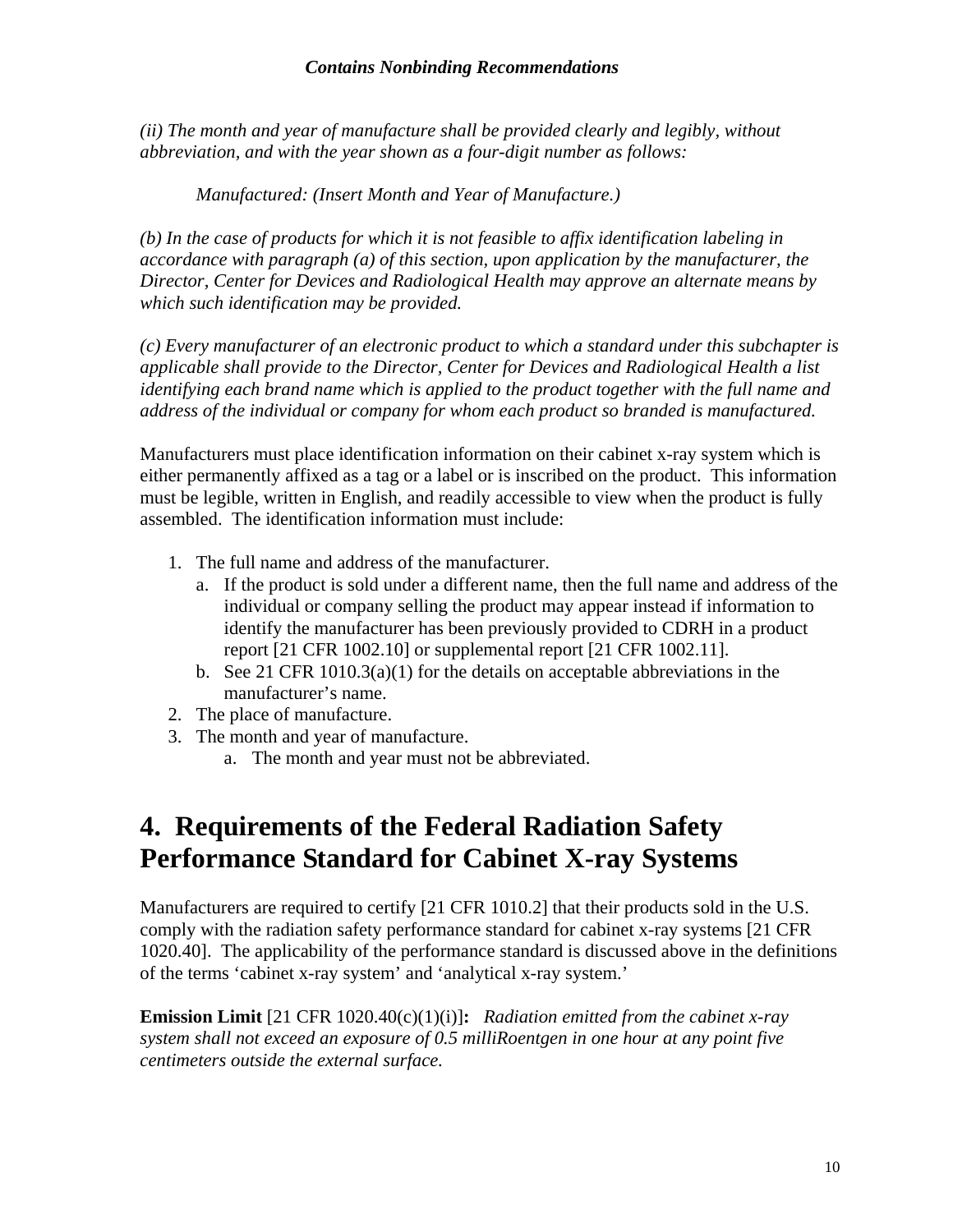<span id="page-12-0"></span>*(ii) The month and year of manufacture shall be provided clearly and legibly, without abbreviation, and with the year shown as a four-digit number as follows:* 

*Manufactured: (Insert Month and Year of Manufacture.)* 

*(b) In the case of products for which it is not feasible to affix identification labeling in accordance with paragraph (a) of this section, upon application by the manufacturer, the Director, Center for Devices and Radiological Health may approve an alternate means by which such identification may be provided.* 

*(c) Every manufacturer of an electronic product to which a standard under this subchapter is applicable shall provide to the Director, Center for Devices and Radiological Health a list identifying each brand name which is applied to the product together with the full name and address of the individual or company for whom each product so branded is manufactured.* 

Manufacturers must place identification information on their cabinet x-ray system which is either permanently affixed as a tag or a label or is inscribed on the product. This information must be legible, written in English, and readily accessible to view when the product is fully assembled. The identification information must include:

- 1. The full name and address of the manufacturer.
	- a. If the product is sold under a different name, then the full name and address of the individual or company selling the product may appear instead if information to identify the manufacturer has been previously provided to CDRH in a product report [21 CFR 1002.10] or supplemental report [21 CFR 1002.11].
	- b. See 21 CFR  $1010.3(a)(1)$  for the details on acceptable abbreviations in the manufacturer's name.
- 2. The place of manufacture.
- 3. The month and year of manufacture.
	- a. The month and year must not be abbreviated.

# **4. Requirements of the Federal Radiation Safety Performance Standard for Cabinet X-ray Systems**

Manufacturers are required to certify [21 CFR 1010.2] that their products sold in the U.S. comply with the radiation safety performance standard for cabinet x-ray systems [21 CFR 1020.40]. The applicability of the performance standard is discussed above in the definitions of the terms 'cabinet x-ray system' and 'analytical x-ray system.'

**Emission Limit** [21 CFR 1020.40(c)(1)(i)]**:** *Radiation emitted from the cabinet x-ray system shall not exceed an exposure of 0.5 milliRoentgen in one hour at any point five centimeters outside the external surface.*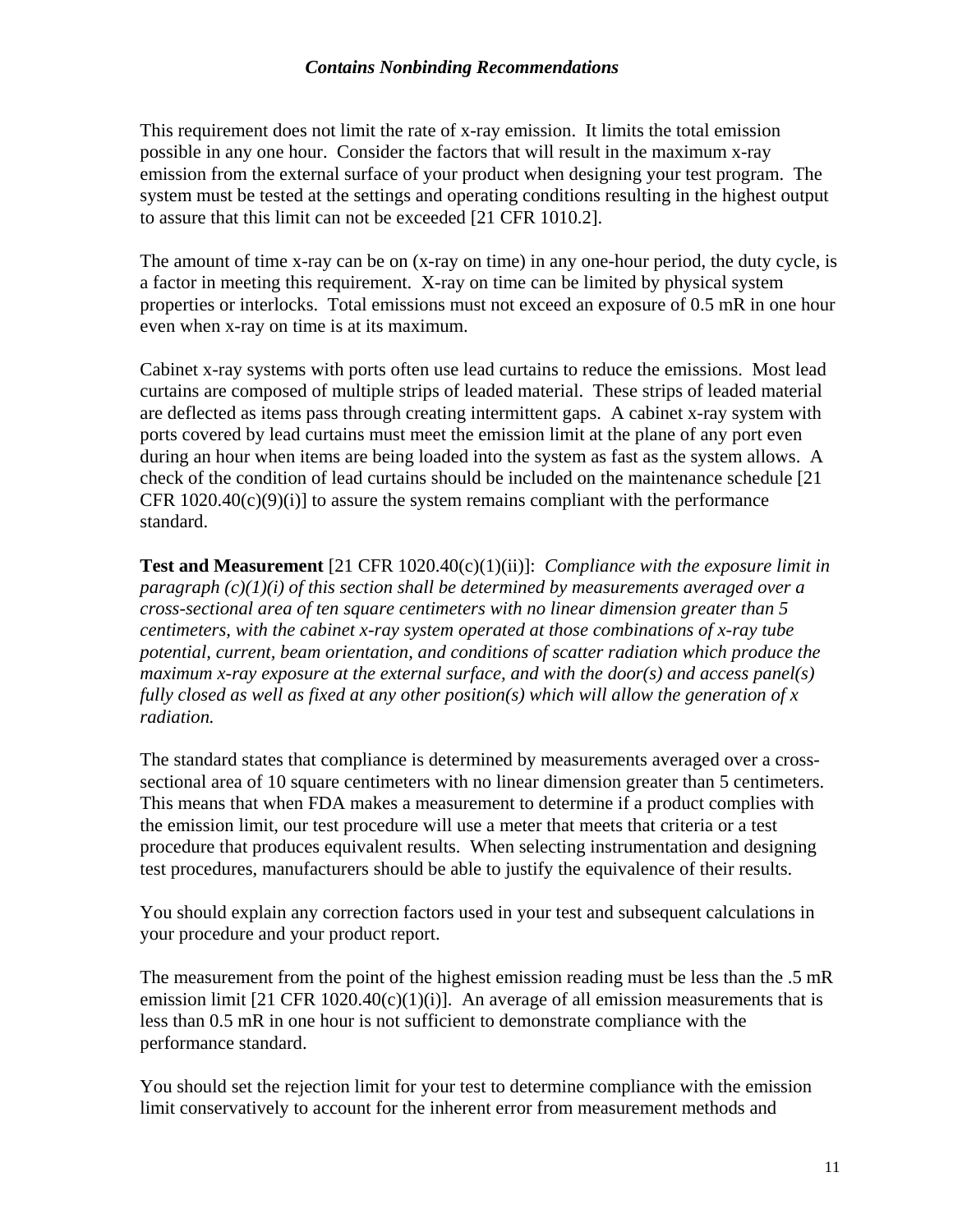This requirement does not limit the rate of x-ray emission. It limits the total emission possible in any one hour. Consider the factors that will result in the maximum x-ray emission from the external surface of your product when designing your test program. The system must be tested at the settings and operating conditions resulting in the highest output to assure that this limit can not be exceeded [21 CFR 1010.2].

The amount of time x-ray can be on (x-ray on time) in any one-hour period, the duty cycle, is a factor in meeting this requirement. X-ray on time can be limited by physical system properties or interlocks. Total emissions must not exceed an exposure of 0.5 mR in one hour even when x-ray on time is at its maximum.

Cabinet x-ray systems with ports often use lead curtains to reduce the emissions. Most lead curtains are composed of multiple strips of leaded material. These strips of leaded material are deflected as items pass through creating intermittent gaps. A cabinet x-ray system with ports covered by lead curtains must meet the emission limit at the plane of any port even during an hour when items are being loaded into the system as fast as the system allows. A check of the condition of lead curtains should be included on the maintenance schedule [21 CFR  $1020.40(c)(9)(i)$  to assure the system remains compliant with the performance standard.

**Test and Measurement** [21 CFR 1020.40(c)(1)(ii)]: *Compliance with the exposure limit in paragraph (c)(1)(i) of this section shall be determined by measurements averaged over a cross-sectional area of ten square centimeters with no linear dimension greater than 5 centimeters, with the cabinet x-ray system operated at those combinations of x-ray tube potential, current, beam orientation, and conditions of scatter radiation which produce the maximum x-ray exposure at the external surface, and with the door(s) and access panel(s) fully closed as well as fixed at any other position(s) which will allow the generation of x radiation.* 

The standard states that compliance is determined by measurements averaged over a crosssectional area of 10 square centimeters with no linear dimension greater than 5 centimeters. This means that when FDA makes a measurement to determine if a product complies with the emission limit, our test procedure will use a meter that meets that criteria or a test procedure that produces equivalent results. When selecting instrumentation and designing test procedures, manufacturers should be able to justify the equivalence of their results.

You should explain any correction factors used in your test and subsequent calculations in your procedure and your product report.

The measurement from the point of the highest emission reading must be less than the .5 mR emission limit  $[21 \text{ CFR } 1020.40(c)(1)(i)]$ . An average of all emission measurements that is less than 0.5 mR in one hour is not sufficient to demonstrate compliance with the performance standard.

You should set the rejection limit for your test to determine compliance with the emission limit conservatively to account for the inherent error from measurement methods and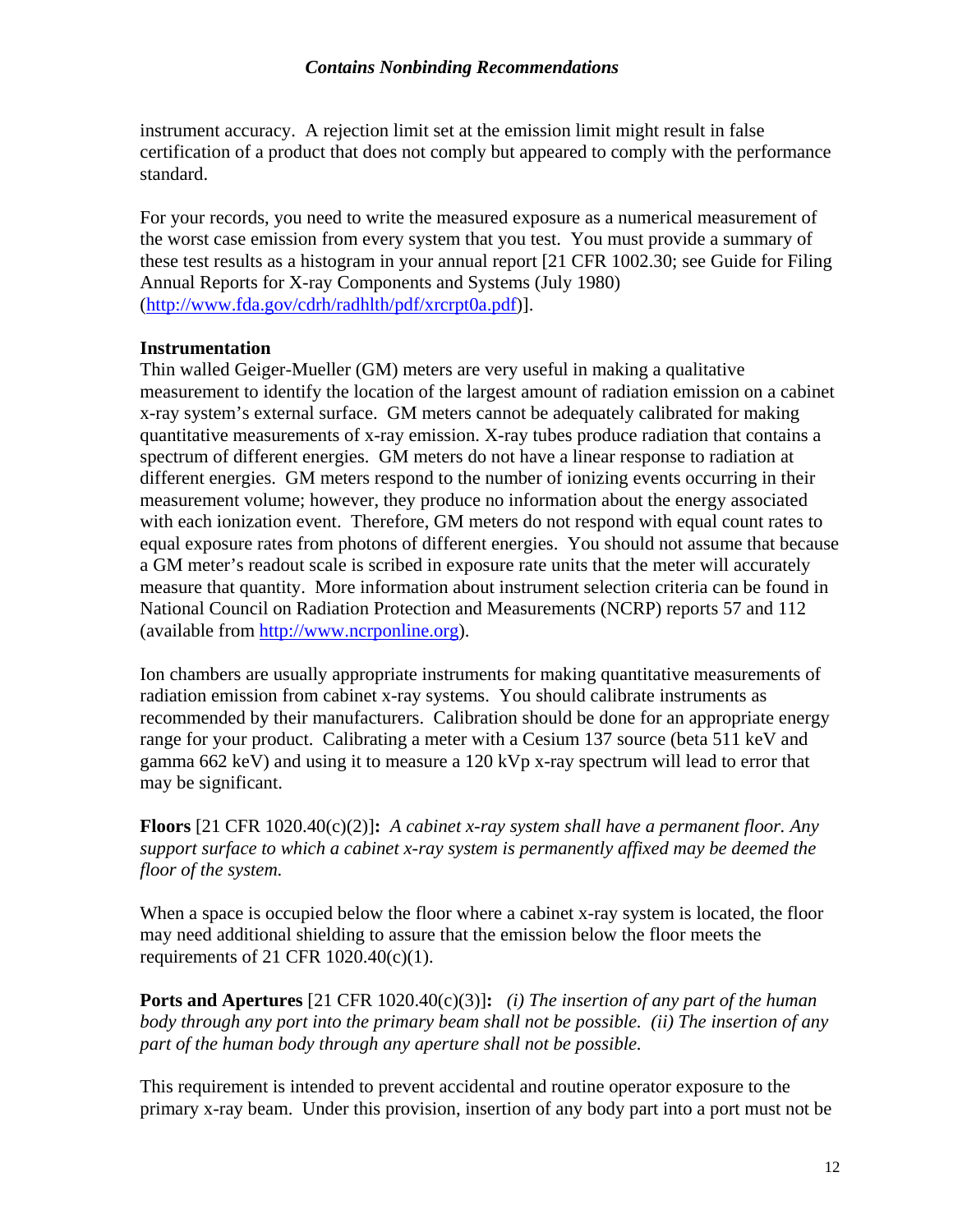instrument accuracy. A rejection limit set at the emission limit might result in false certification of a product that does not comply but appeared to comply with the performance standard.

For your records, you need to write the measured exposure as a numerical measurement of the worst case emission from every system that you test. You must provide a summary of these test results as a histogram in your annual report [21 CFR 1002.30; see Guide for Filing Annual Reports for X-ray Components and Systems (July 1980) ([http://www.fda.gov/cdrh/radhlth/pdf/xrcrpt0a.pdf\)](http://www.fda.gov/cdrh/radhlth/pdf/xrcrpt0a.pdf)].

#### **Instrumentation**

Thin walled Geiger-Mueller (GM) meters are very useful in making a qualitative measurement to identify the location of the largest amount of radiation emission on a cabinet x-ray system's external surface. GM meters cannot be adequately calibrated for making quantitative measurements of x-ray emission. X-ray tubes produce radiation that contains a spectrum of different energies. GM meters do not have a linear response to radiation at different energies. GM meters respond to the number of ionizing events occurring in their measurement volume; however, they produce no information about the energy associated with each ionization event. Therefore, GM meters do not respond with equal count rates to equal exposure rates from photons of different energies. You should not assume that because a GM meter's readout scale is scribed in exposure rate units that the meter will accurately measure that quantity. More information about instrument selection criteria can be found in National Council on Radiation Protection and Measurements (NCRP) reports 57 and 112 (available from [http://www.ncrponline.org\)](http://www.ncrponline.org/).

Ion chambers are usually appropriate instruments for making quantitative measurements of radiation emission from cabinet x-ray systems. You should calibrate instruments as recommended by their manufacturers. Calibration should be done for an appropriate energy range for your product. Calibrating a meter with a Cesium 137 source (beta 511 keV and gamma 662 keV) and using it to measure a 120 kVp x-ray spectrum will lead to error that may be significant.

**Floors** [21 CFR 1020.40(c)(2)]**:** *A cabinet x-ray system shall have a permanent floor. Any support surface to which a cabinet x-ray system is permanently affixed may be deemed the floor of the system.* 

When a space is occupied below the floor where a cabinet x-ray system is located, the floor may need additional shielding to assure that the emission below the floor meets the requirements of 21 CFR 1020.40(c)(1).

**Ports and Apertures** [21 CFR 1020.40(c)(3)]**:** *(i) The insertion of any part of the human body through any port into the primary beam shall not be possible. (ii) The insertion of any part of the human body through any aperture shall not be possible.* 

This requirement is intended to prevent accidental and routine operator exposure to the primary x-ray beam. Under this provision, insertion of any body part into a port must not be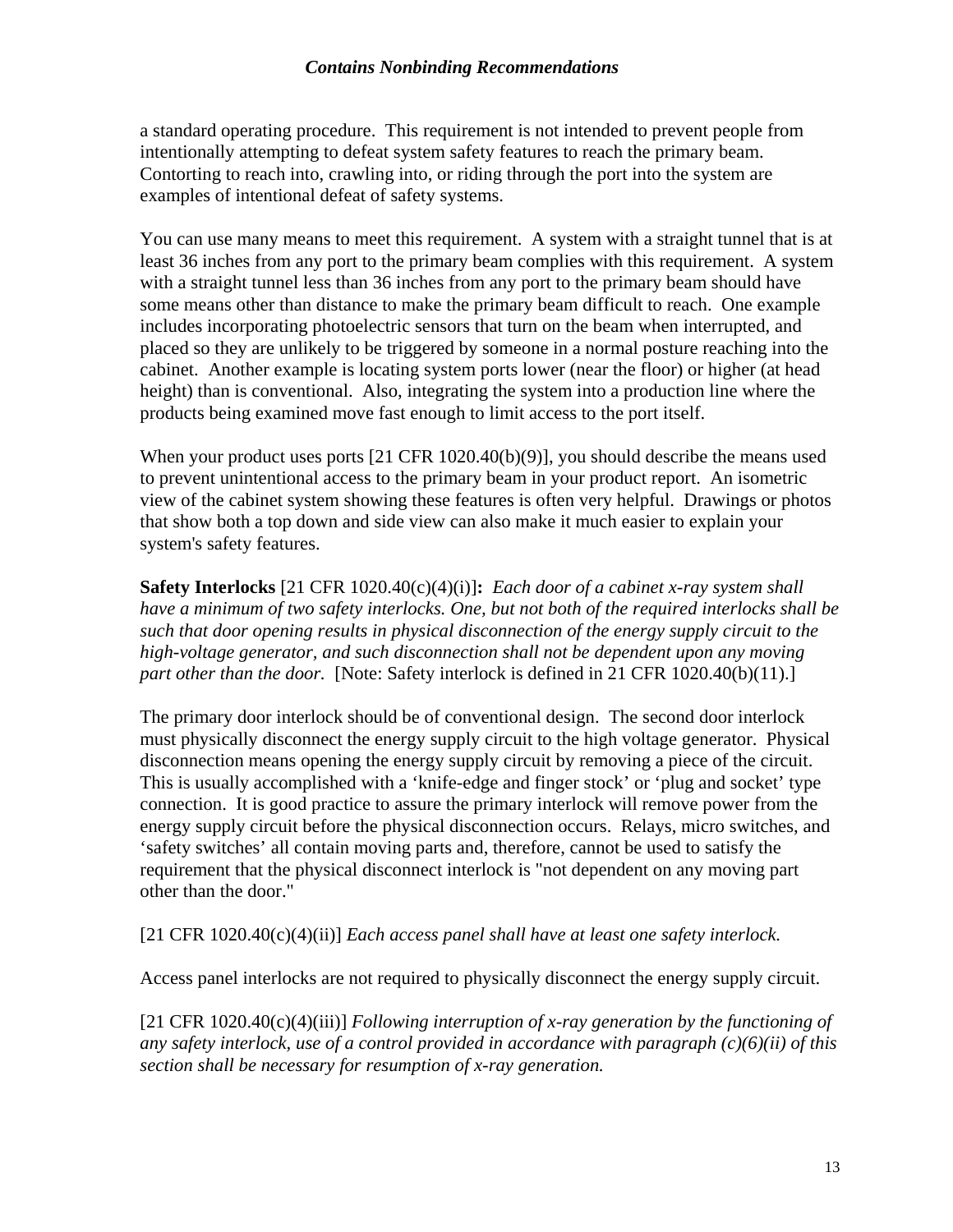a standard operating procedure. This requirement is not intended to prevent people from intentionally attempting to defeat system safety features to reach the primary beam. Contorting to reach into, crawling into, or riding through the port into the system are examples of intentional defeat of safety systems.

You can use many means to meet this requirement. A system with a straight tunnel that is at least 36 inches from any port to the primary beam complies with this requirement. A system with a straight tunnel less than 36 inches from any port to the primary beam should have some means other than distance to make the primary beam difficult to reach. One example includes incorporating photoelectric sensors that turn on the beam when interrupted, and placed so they are unlikely to be triggered by someone in a normal posture reaching into the cabinet. Another example is locating system ports lower (near the floor) or higher (at head height) than is conventional. Also, integrating the system into a production line where the products being examined move fast enough to limit access to the port itself.

When your product uses ports  $[21 \text{ CFR } 1020.40(b)(9)]$ , you should describe the means used to prevent unintentional access to the primary beam in your product report. An isometric view of the cabinet system showing these features is often very helpful. Drawings or photos that show both a top down and side view can also make it much easier to explain your system's safety features.

**Safety Interlocks** [21 CFR 1020.40(c)(4)(i)]**:** *Each door of a cabinet x-ray system shall have a minimum of two safety interlocks. One, but not both of the required interlocks shall be such that door opening results in physical disconnection of the energy supply circuit to the high-voltage generator, and such disconnection shall not be dependent upon any moving part other than the door.* [Note: Safety interlock is defined in 21 CFR 1020.40(b)(11).]

The primary door interlock should be of conventional design. The second door interlock must physically disconnect the energy supply circuit to the high voltage generator. Physical disconnection means opening the energy supply circuit by removing a piece of the circuit. This is usually accomplished with a 'knife-edge and finger stock' or 'plug and socket' type connection. It is good practice to assure the primary interlock will remove power from the energy supply circuit before the physical disconnection occurs. Relays, micro switches, and 'safety switches' all contain moving parts and, therefore, cannot be used to satisfy the requirement that the physical disconnect interlock is "not dependent on any moving part other than the door."

[21 CFR 1020.40(c)(4)(ii)] *Each access panel shall have at least one safety interlock.* 

Access panel interlocks are not required to physically disconnect the energy supply circuit.

[21 CFR 1020.40(c)(4)(iii)] *Following interruption of x-ray generation by the functioning of any safety interlock, use of a control provided in accordance with paragraph (c)(6)(ii) of this section shall be necessary for resumption of x-ray generation.*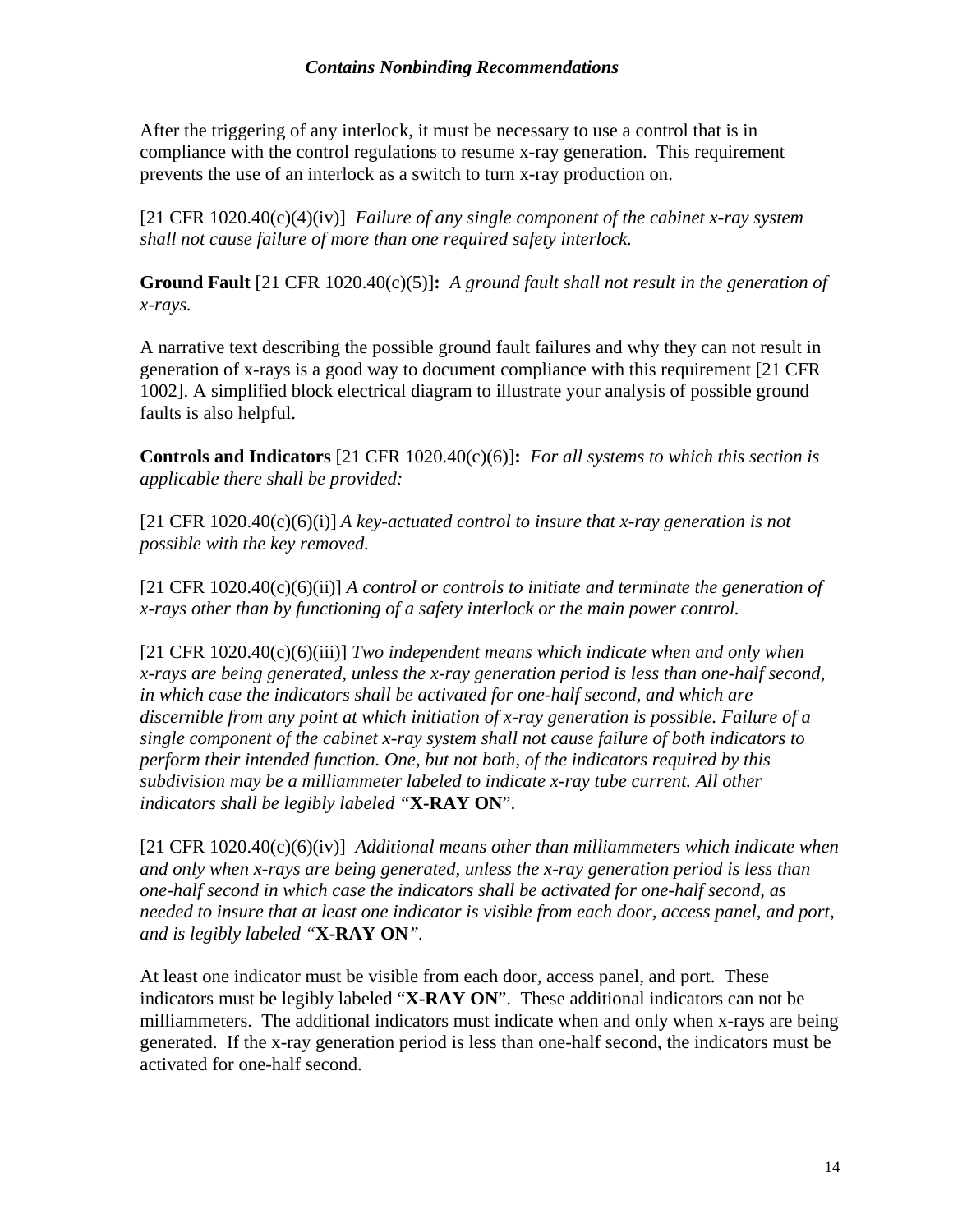After the triggering of any interlock, it must be necessary to use a control that is in compliance with the control regulations to resume x-ray generation. This requirement prevents the use of an interlock as a switch to turn x-ray production on.

[21 CFR 1020.40(c)(4)(iv)] *Failure of any single component of the cabinet x-ray system shall not cause failure of more than one required safety interlock.*

**Ground Fault** [21 CFR 1020.40(c)(5)]**:** *A ground fault shall not result in the generation of x-rays.* 

A narrative text describing the possible ground fault failures and why they can not result in generation of x-rays is a good way to document compliance with this requirement [21 CFR 1002]. A simplified block electrical diagram to illustrate your analysis of possible ground faults is also helpful.

**Controls and Indicators** [21 CFR 1020.40(c)(6)]**:** *For all systems to which this section is applicable there shall be provided:*

 $[21 \text{ CFR } 1020.40(c)(6)(i)]$  *A key-actuated control to insure that x-ray generation is not possible with the key removed.*

[21 CFR 1020.40(c)(6)(ii)] *A control or controls to initiate and terminate the generation of x-rays other than by functioning of a safety interlock or the main power control.*

[21 CFR 1020.40(c)(6)(iii)] *Two independent means which indicate when and only when x-rays are being generated, unless the x-ray generation period is less than one-half second, in which case the indicators shall be activated for one-half second, and which are discernible from any point at which initiation of x-ray generation is possible. Failure of a single component of the cabinet x-ray system shall not cause failure of both indicators to perform their intended function. One, but not both, of the indicators required by this subdivision may be a milliammeter labeled to indicate x-ray tube current. All other indicators shall be legibly labeled "***X-RAY ON**".

[21 CFR 1020.40(c)(6)(iv)] *Additional means other than milliammeters which indicate when and only when x-rays are being generated, unless the x-ray generation period is less than one-half second in which case the indicators shall be activated for one-half second, as needed to insure that at least one indicator is visible from each door, access panel, and port, and is legibly labeled "***X-RAY ON***".* 

At least one indicator must be visible from each door, access panel, and port. These indicators must be legibly labeled "**X-RAY ON**". These additional indicators can not be milliammeters. The additional indicators must indicate when and only when x-rays are being generated. If the x-ray generation period is less than one-half second, the indicators must be activated for one-half second.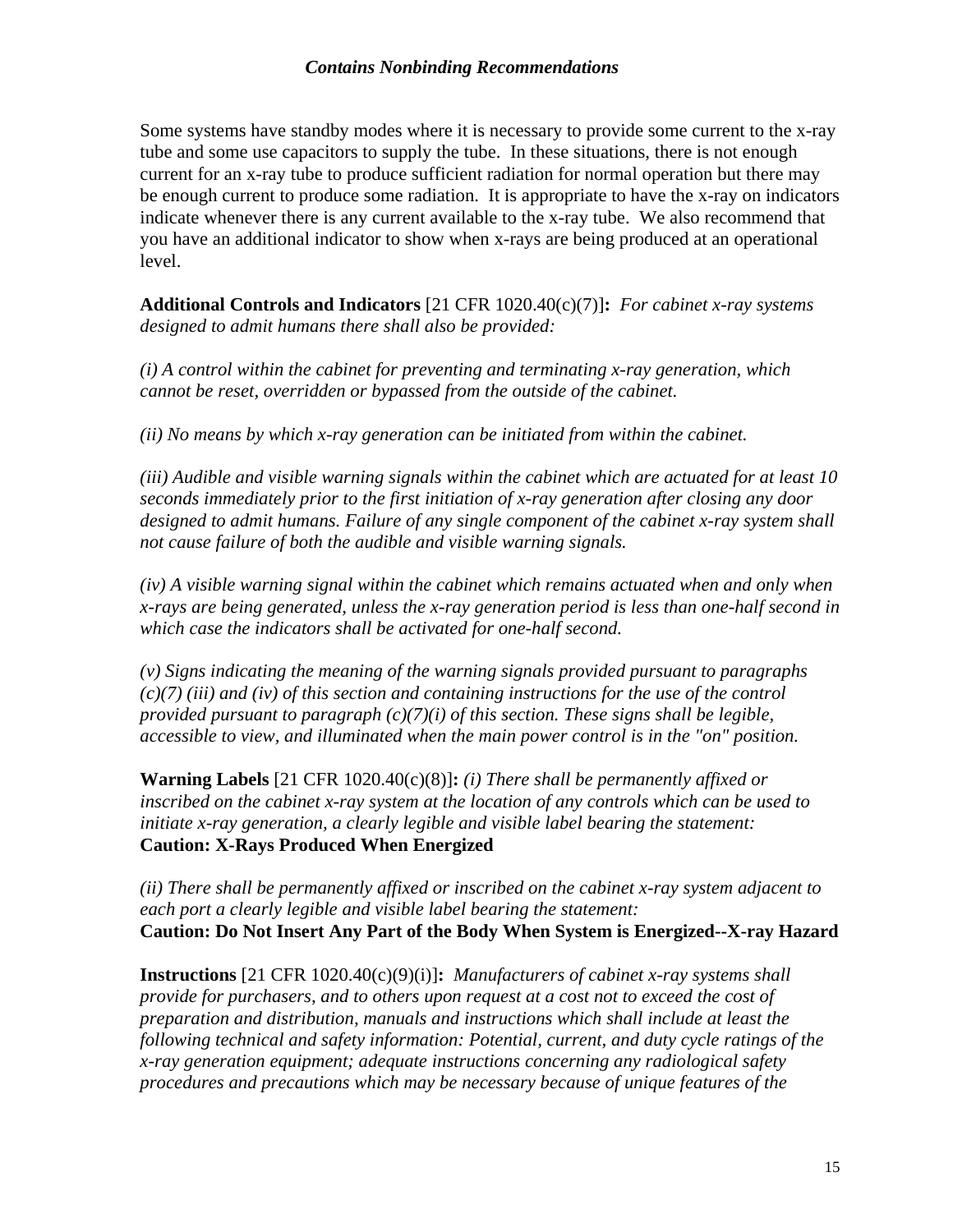Some systems have standby modes where it is necessary to provide some current to the x-ray tube and some use capacitors to supply the tube. In these situations, there is not enough current for an x-ray tube to produce sufficient radiation for normal operation but there may be enough current to produce some radiation. It is appropriate to have the x-ray on indicators indicate whenever there is any current available to the x-ray tube. We also recommend that you have an additional indicator to show when x-rays are being produced at an operational level.

**Additional Controls and Indicators** [21 CFR 1020.40(c)(7)]**:** *For cabinet x-ray systems designed to admit humans there shall also be provided:* 

*(i) A control within the cabinet for preventing and terminating x-ray generation, which cannot be reset, overridden or bypassed from the outside of the cabinet.* 

*(ii) No means by which x-ray generation can be initiated from within the cabinet.* 

*(iii) Audible and visible warning signals within the cabinet which are actuated for at least 10 seconds immediately prior to the first initiation of x-ray generation after closing any door designed to admit humans. Failure of any single component of the cabinet x-ray system shall not cause failure of both the audible and visible warning signals.* 

*(iv) A visible warning signal within the cabinet which remains actuated when and only when x-rays are being generated, unless the x-ray generation period is less than one-half second in which case the indicators shall be activated for one-half second.* 

*(v) Signs indicating the meaning of the warning signals provided pursuant to paragraphs (c)(7) (iii) and (iv) of this section and containing instructions for the use of the control provided pursuant to paragraph (c)(7)(i) of this section. These signs shall be legible, accessible to view, and illuminated when the main power control is in the "on" position.* 

**Warning Labels** [21 CFR 1020.40(c)(8)]**:** *(i) There shall be permanently affixed or inscribed on the cabinet x-ray system at the location of any controls which can be used to initiate x-ray generation, a clearly legible and visible label bearing the statement:*  **Caution: X-Rays Produced When Energized**

*(ii) There shall be permanently affixed or inscribed on the cabinet x-ray system adjacent to each port a clearly legible and visible label bearing the statement:*  **Caution: Do Not Insert Any Part of the Body When System is Energized--X-ray Hazard**

**Instructions** [21 CFR 1020.40(c)(9)(i)]**:** *Manufacturers of cabinet x-ray systems shall provide for purchasers, and to others upon request at a cost not to exceed the cost of preparation and distribution, manuals and instructions which shall include at least the following technical and safety information: Potential, current, and duty cycle ratings of the x-ray generation equipment; adequate instructions concerning any radiological safety procedures and precautions which may be necessary because of unique features of the*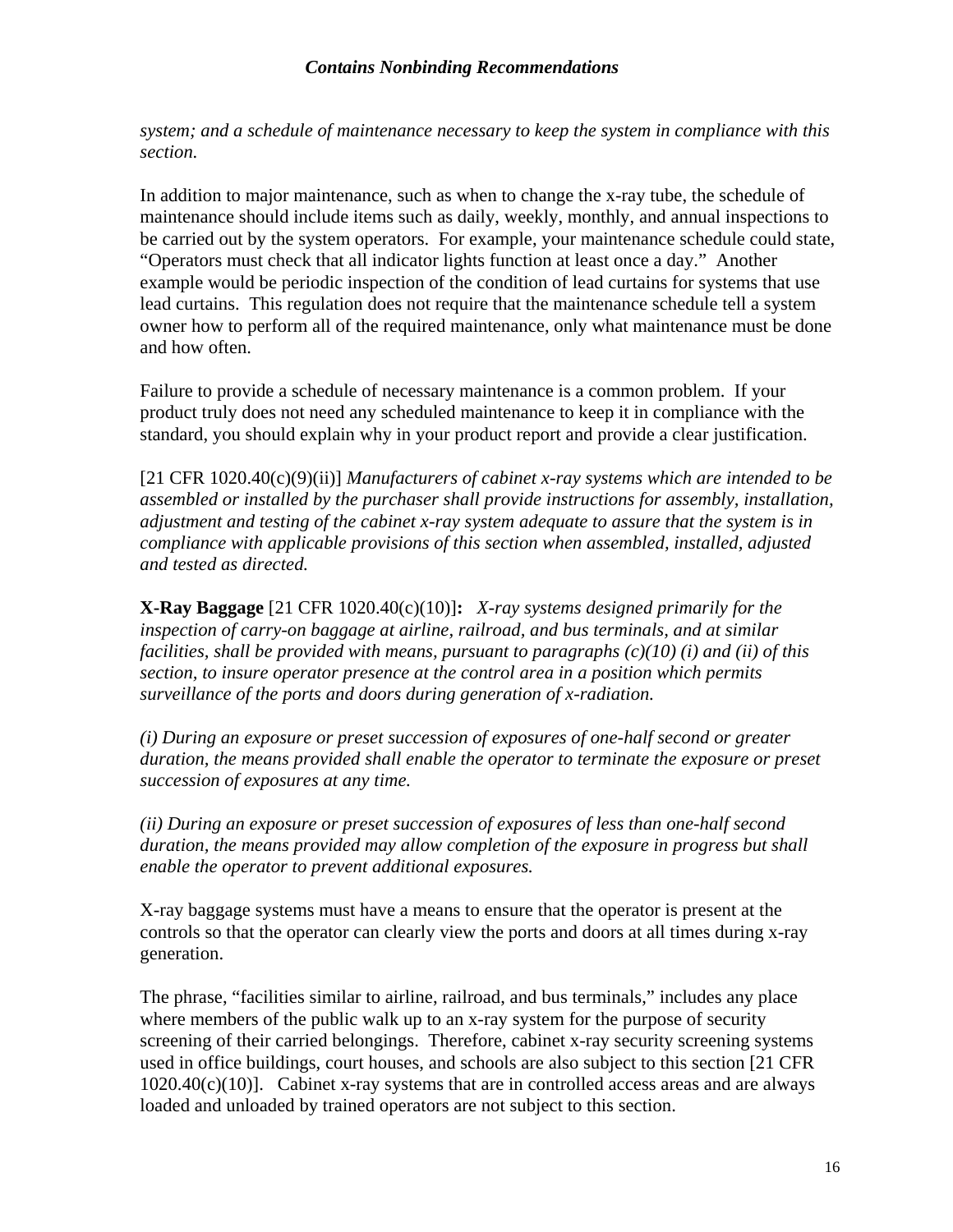*system; and a schedule of maintenance necessary to keep the system in compliance with this section.*

In addition to major maintenance, such as when to change the x-ray tube, the schedule of maintenance should include items such as daily, weekly, monthly, and annual inspections to be carried out by the system operators. For example, your maintenance schedule could state, "Operators must check that all indicator lights function at least once a day." Another example would be periodic inspection of the condition of lead curtains for systems that use lead curtains. This regulation does not require that the maintenance schedule tell a system owner how to perform all of the required maintenance, only what maintenance must be done and how often.

Failure to provide a schedule of necessary maintenance is a common problem. If your product truly does not need any scheduled maintenance to keep it in compliance with the standard, you should explain why in your product report and provide a clear justification.

[21 CFR 1020.40(c)(9)(ii)] *Manufacturers of cabinet x-ray systems which are intended to be assembled or installed by the purchaser shall provide instructions for assembly, installation, adjustment and testing of the cabinet x-ray system adequate to assure that the system is in compliance with applicable provisions of this section when assembled, installed, adjusted and tested as directed.*

**X-Ray Baggage** [21 CFR 1020.40(c)(10)]**:** *X-ray systems designed primarily for the inspection of carry-on baggage at airline, railroad, and bus terminals, and at similar facilities, shall be provided with means, pursuant to paragraphs (c)(10) (i) and (ii) of this section, to insure operator presence at the control area in a position which permits surveillance of the ports and doors during generation of x-radiation.* 

*(i) During an exposure or preset succession of exposures of one-half second or greater duration, the means provided shall enable the operator to terminate the exposure or preset succession of exposures at any time.* 

*(ii) During an exposure or preset succession of exposures of less than one-half second duration, the means provided may allow completion of the exposure in progress but shall enable the operator to prevent additional exposures.* 

X-ray baggage systems must have a means to ensure that the operator is present at the controls so that the operator can clearly view the ports and doors at all times during x-ray generation.

The phrase, "facilities similar to airline, railroad, and bus terminals," includes any place where members of the public walk up to an x-ray system for the purpose of security screening of their carried belongings. Therefore, cabinet x-ray security screening systems used in office buildings, court houses, and schools are also subject to this section [21 CFR  $1020.40(c)(10)$ ]. Cabinet x-ray systems that are in controlled access areas and are always loaded and unloaded by trained operators are not subject to this section.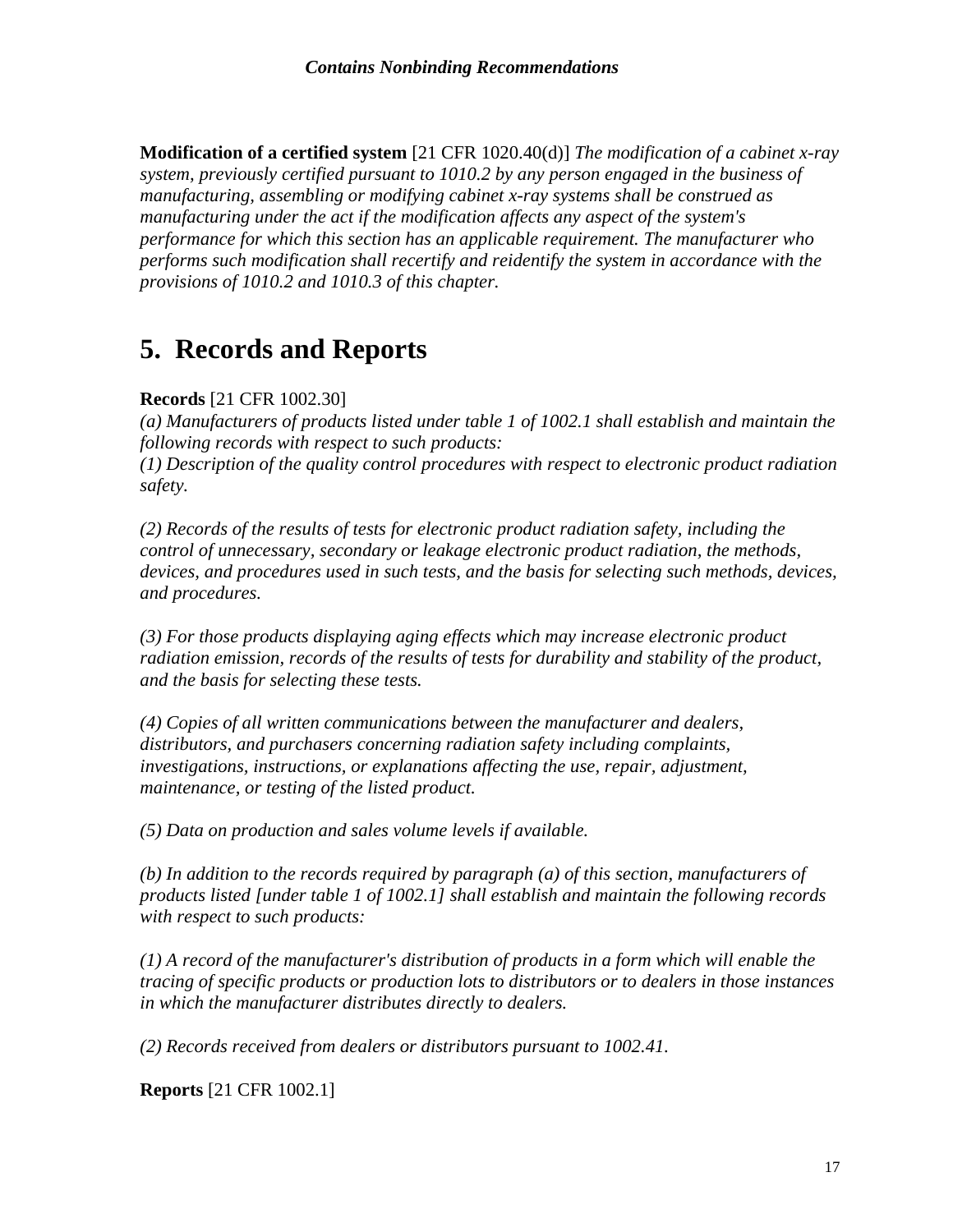<span id="page-19-0"></span>**Modification of a certified system** [21 CFR 1020.40(d)] *The modification of a cabinet x-ray system, previously certified pursuant to 1010.2 by any person engaged in the business of manufacturing, assembling or modifying cabinet x-ray systems shall be construed as manufacturing under the act if the modification affects any aspect of the system's performance for which this section has an applicable requirement. The manufacturer who performs such modification shall recertify and reidentify the system in accordance with the provisions of 1010.2 and 1010.3 of this chapter.* 

### **5. Records and Reports**

#### **Records** [21 CFR 1002.30]

*(a) Manufacturers of products listed under table 1 of 1002.1 shall establish and maintain the following records with respect to such products:* 

*(1) Description of the quality control procedures with respect to electronic product radiation safety.* 

*(2) Records of the results of tests for electronic product radiation safety, including the control of unnecessary, secondary or leakage electronic product radiation, the methods, devices, and procedures used in such tests, and the basis for selecting such methods, devices, and procedures.* 

*(3) For those products displaying aging effects which may increase electronic product radiation emission, records of the results of tests for durability and stability of the product, and the basis for selecting these tests.* 

*(4) Copies of all written communications between the manufacturer and dealers, distributors, and purchasers concerning radiation safety including complaints, investigations, instructions, or explanations affecting the use, repair, adjustment, maintenance, or testing of the listed product.* 

*(5) Data on production and sales volume levels if available.* 

*(b) In addition to the records required by paragraph (a) of this section, manufacturers of products listed [under table 1 of 1002.1] shall establish and maintain the following records with respect to such products:* 

*(1) A record of the manufacturer's distribution of products in a form which will enable the tracing of specific products or production lots to distributors or to dealers in those instances in which the manufacturer distributes directly to dealers.* 

*(2) Records received from dealers or distributors pursuant to 1002.41.* 

**Reports** [21 CFR 1002.1]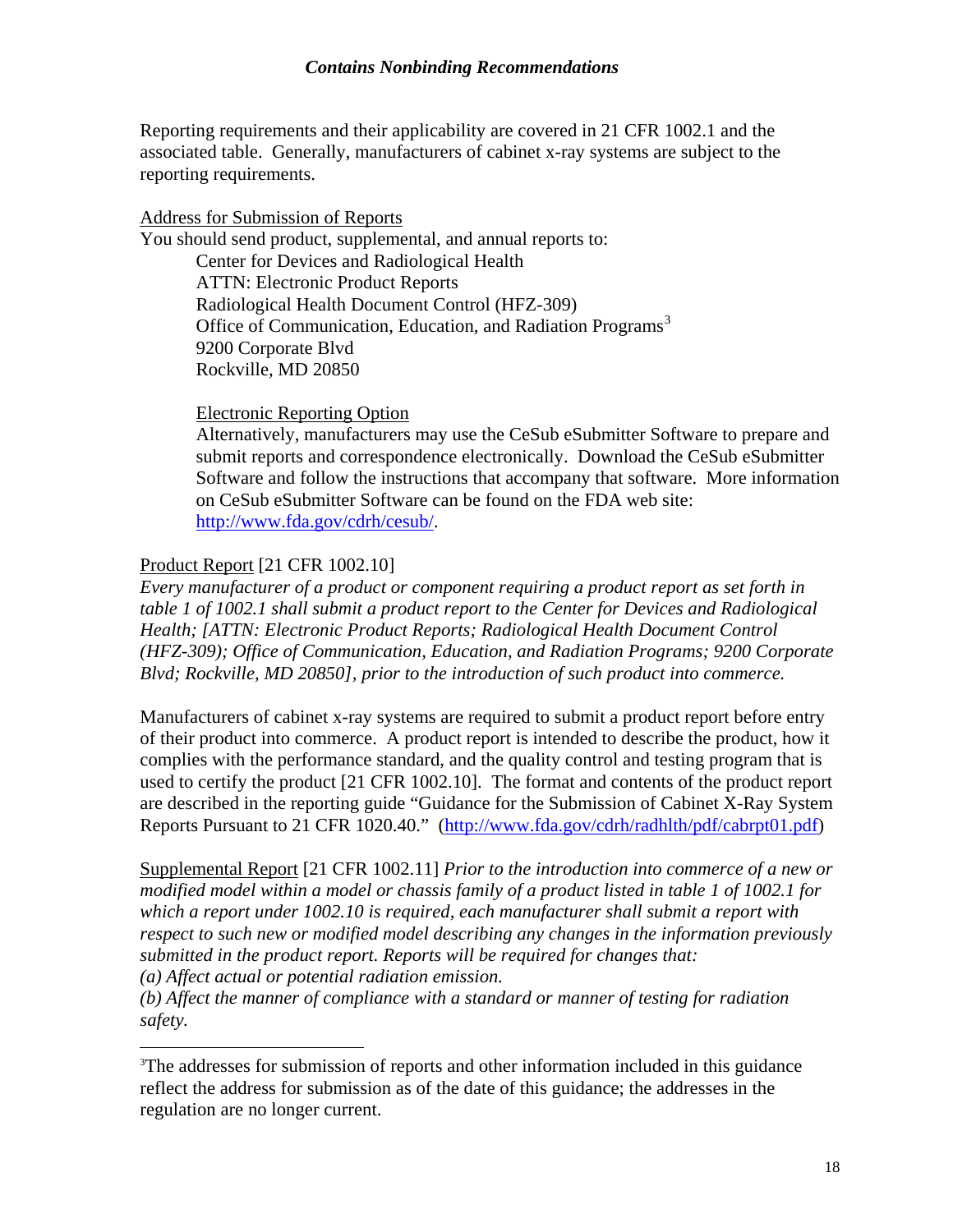Reporting requirements and their applicability are covered in 21 CFR 1002.1 and the associated table. Generally, manufacturers of cabinet x-ray systems are subject to the reporting requirements.

#### Address for Submission of Reports

You should send product, supplemental, and annual reports to: Center for Devices and Radiological Health ATTN: Electronic Product Reports Radiological Health Document Control (HFZ-309) Office of Communication, Education, and Radiation Programs<sup>[3](#page-20-0)</sup> 9200 Corporate Blvd Rockville, MD 20850

#### Electronic Reporting Option

Alternatively, manufacturers may use the CeSub eSubmitter Software to prepare and submit reports and correspondence electronically. Download the CeSub eSubmitter Software and follow the instructions that accompany that software. More information on CeSub eSubmitter Software can be found on the FDA web site: [http://www.fda.gov/cdrh/cesub/.](http://www.fda.gov/cdrh/cesub/)

#### Product Report [21 CFR 1002.10]

 $\overline{a}$ 

*Every manufacturer of a product or component requiring a product report as set forth in table 1 of 1002.1 shall submit a product report to the Center for Devices and Radiological Health; [ATTN: Electronic Product Reports; Radiological Health Document Control (HFZ-309); Office of Communication, Education, and Radiation Programs; 9200 Corporate Blvd; Rockville, MD 20850], prior to the introduction of such product into commerce.* 

Manufacturers of cabinet x-ray systems are required to submit a product report before entry of their product into commerce. A product report is intended to describe the product, how it complies with the performance standard, and the quality control and testing program that is used to certify the product [21 CFR 1002.10]. The format and contents of the product report are described in the reporting guide "Guidance for the Submission of Cabinet X-Ray System Reports Pursuant to 21 CFR 1020.40." ([http://www.fda.gov/cdrh/radhlth/pdf/cabrpt01.pdf\)](http://www.fda.gov/cdrh/radhlth/pdf/cabrpt01.pdf)

Supplemental Report [21 CFR 1002.11] *Prior to the introduction into commerce of a new or modified model within a model or chassis family of a product listed in table 1 of 1002.1 for which a report under 1002.10 is required, each manufacturer shall submit a report with respect to such new or modified model describing any changes in the information previously submitted in the product report. Reports will be required for changes that: (a) Affect actual or potential radiation emission.* 

*(b) Affect the manner of compliance with a standard or manner of testing for radiation safety.* 

<span id="page-20-0"></span><sup>&</sup>lt;sup>3</sup>The addresses for submission of reports and other information included in this guidance reflect the address for submission as of the date of this guidance; the addresses in the regulation are no longer current.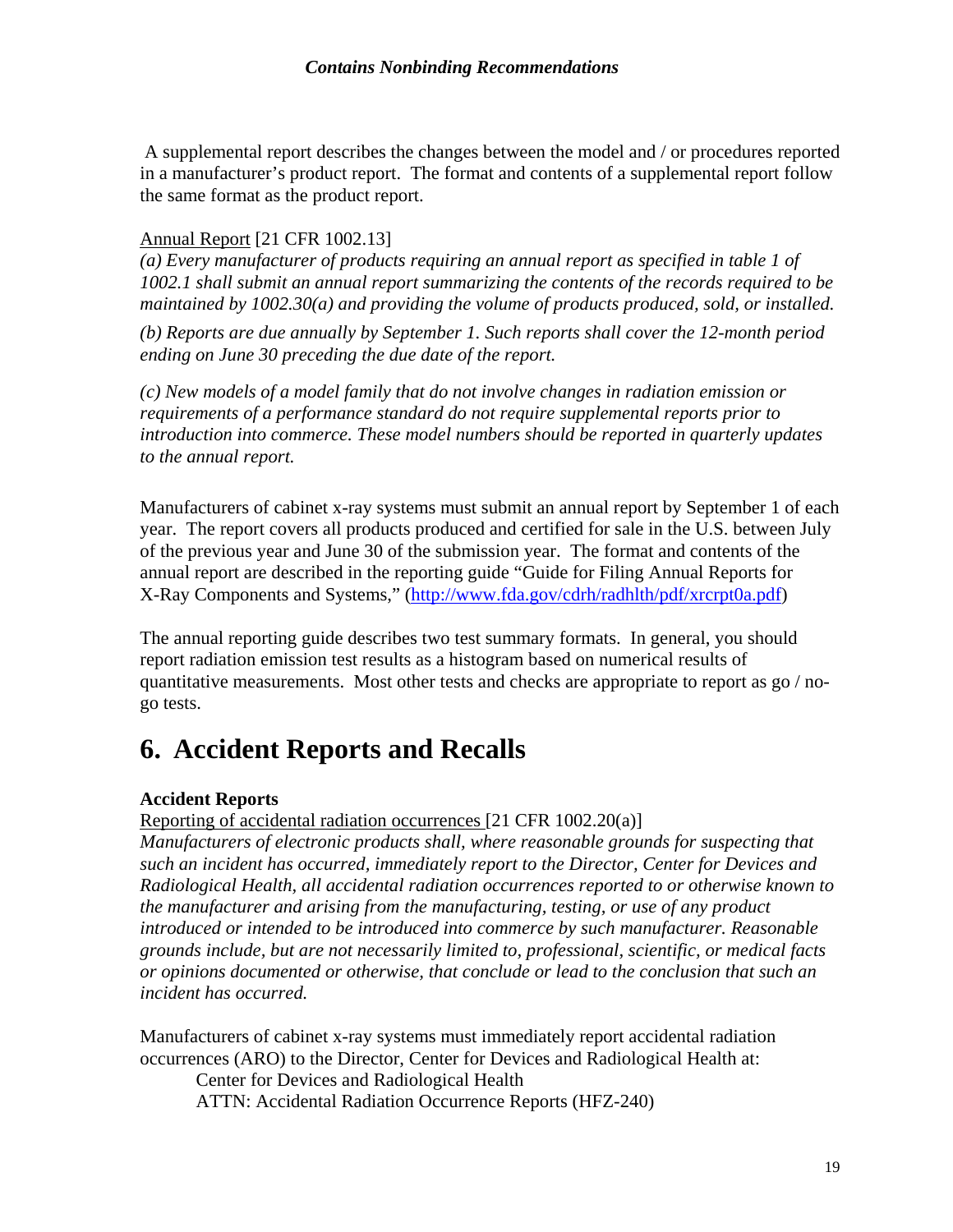<span id="page-21-0"></span> A supplemental report describes the changes between the model and / or procedures reported in a manufacturer's product report. The format and contents of a supplemental report follow the same format as the product report.

#### Annual Report [21 CFR 1002.13]

*(a) Every manufacturer of products requiring an annual report as specified in table 1 of 1002.1 shall submit an annual report summarizing the contents of the records required to be maintained by 1002.30(a) and providing the volume of products produced, sold, or installed.* 

*(b) Reports are due annually by September 1. Such reports shall cover the 12-month period ending on June 30 preceding the due date of the report.* 

*(c) New models of a model family that do not involve changes in radiation emission or requirements of a performance standard do not require supplemental reports prior to introduction into commerce. These model numbers should be reported in quarterly updates to the annual report.* 

Manufacturers of cabinet x-ray systems must submit an annual report by September 1 of each year. The report covers all products produced and certified for sale in the U.S. between July of the previous year and June 30 of the submission year. The format and contents of the annual report are described in the reporting guide "Guide for Filing Annual Reports for X-Ray Components and Systems," [\(http://www.fda.gov/cdrh/radhlth/pdf/xrcrpt0a.pdf](http://www.fda.gov/cdrh/radhlth/pdf/xrcrpt0a.pdf))

The annual reporting guide describes two test summary formats. In general, you should report radiation emission test results as a histogram based on numerical results of quantitative measurements. Most other tests and checks are appropriate to report as go / nogo tests.

# **6. Accident Reports and Recalls**

#### **Accident Reports**

Reporting of accidental radiation occurrences [21 CFR 1002.20(a)]

*Manufacturers of electronic products shall, where reasonable grounds for suspecting that such an incident has occurred, immediately report to the Director, Center for Devices and Radiological Health, all accidental radiation occurrences reported to or otherwise known to the manufacturer and arising from the manufacturing, testing, or use of any product introduced or intended to be introduced into commerce by such manufacturer. Reasonable grounds include, but are not necessarily limited to, professional, scientific, or medical facts or opinions documented or otherwise, that conclude or lead to the conclusion that such an incident has occurred.*

Manufacturers of cabinet x-ray systems must immediately report accidental radiation occurrences (ARO) to the Director, Center for Devices and Radiological Health at:

Center for Devices and Radiological Health ATTN: Accidental Radiation Occurrence Reports (HFZ-240)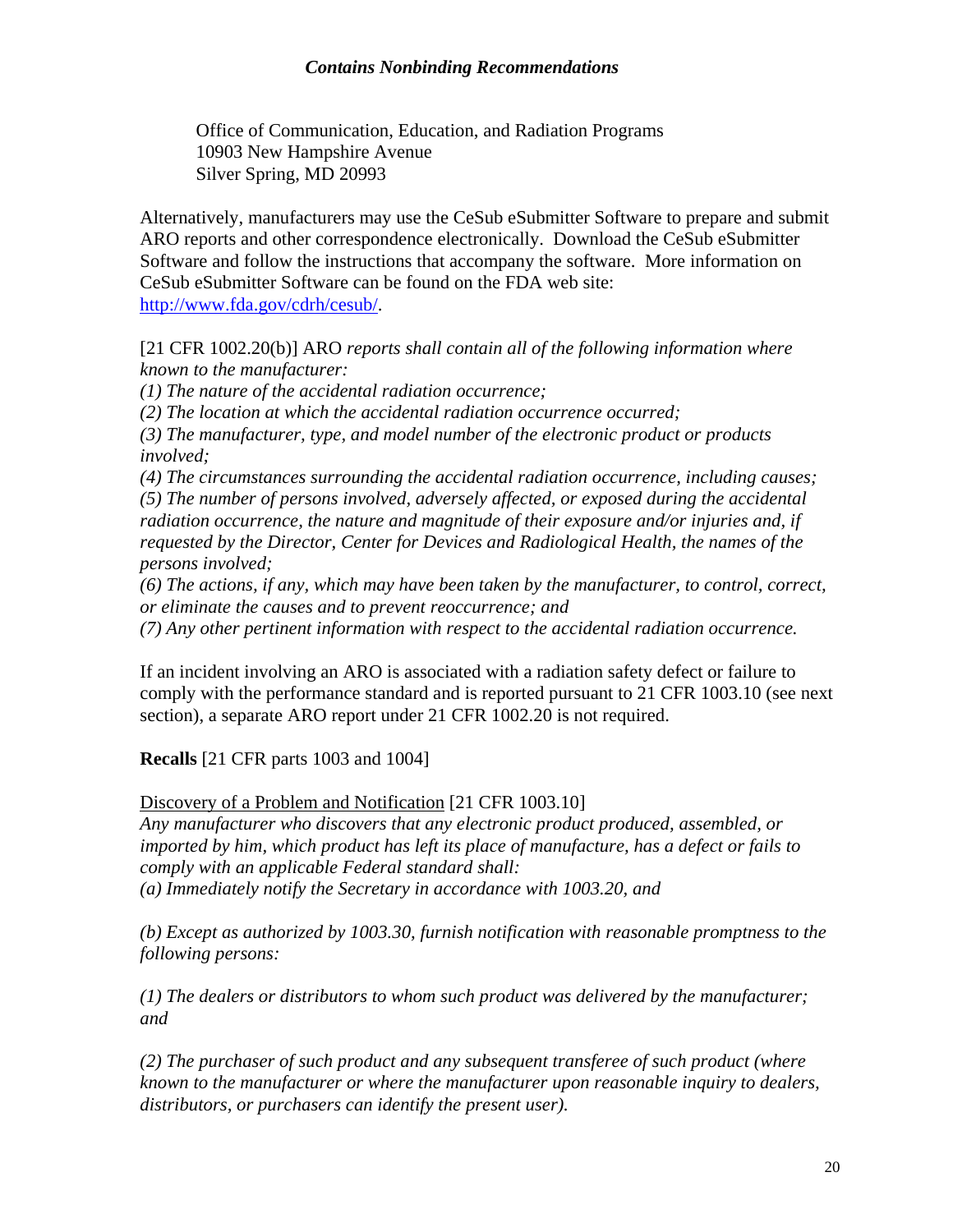Office of Communication, Education, and Radiation Programs 10903 New Hampshire Avenue Silver Spring, MD 20993

Alternatively, manufacturers may use the CeSub eSubmitter Software to prepare and submit ARO reports and other correspondence electronically. Download the CeSub eSubmitter Software and follow the instructions that accompany the software. More information on CeSub eSubmitter Software can be found on the FDA web site: [http://www.fda.gov/cdrh/cesub/.](http://www.fda.gov/cdrh/cesub/)

[21 CFR 1002.20(b)] ARO *reports shall contain all of the following information where known to the manufacturer:* 

*(1) The nature of the accidental radiation occurrence;* 

*(2) The location at which the accidental radiation occurrence occurred;* 

*(3) The manufacturer, type, and model number of the electronic product or products involved;* 

*(4) The circumstances surrounding the accidental radiation occurrence, including causes;* 

*(5) The number of persons involved, adversely affected, or exposed during the accidental radiation occurrence, the nature and magnitude of their exposure and/or injuries and, if requested by the Director, Center for Devices and Radiological Health, the names of the persons involved;* 

*(6) The actions, if any, which may have been taken by the manufacturer, to control, correct, or eliminate the causes and to prevent reoccurrence; and* 

*(7) Any other pertinent information with respect to the accidental radiation occurrence.* 

If an incident involving an ARO is associated with a radiation safety defect or failure to comply with the performance standard and is reported pursuant to 21 CFR 1003.10 (see next section), a separate ARO report under 21 CFR 1002.20 is not required.

**Recalls** [21 CFR parts 1003 and 1004]

Discovery of a Problem and Notification [21 CFR 1003.10]

*Any manufacturer who discovers that any electronic product produced, assembled, or imported by him, which product has left its place of manufacture, has a defect or fails to comply with an applicable Federal standard shall:* 

*(a) Immediately notify the Secretary in accordance with 1003.20, and* 

*(b) Except as authorized by 1003.30, furnish notification with reasonable promptness to the following persons:* 

*(1) The dealers or distributors to whom such product was delivered by the manufacturer; and* 

*(2) The purchaser of such product and any subsequent transferee of such product (where known to the manufacturer or where the manufacturer upon reasonable inquiry to dealers, distributors, or purchasers can identify the present user).*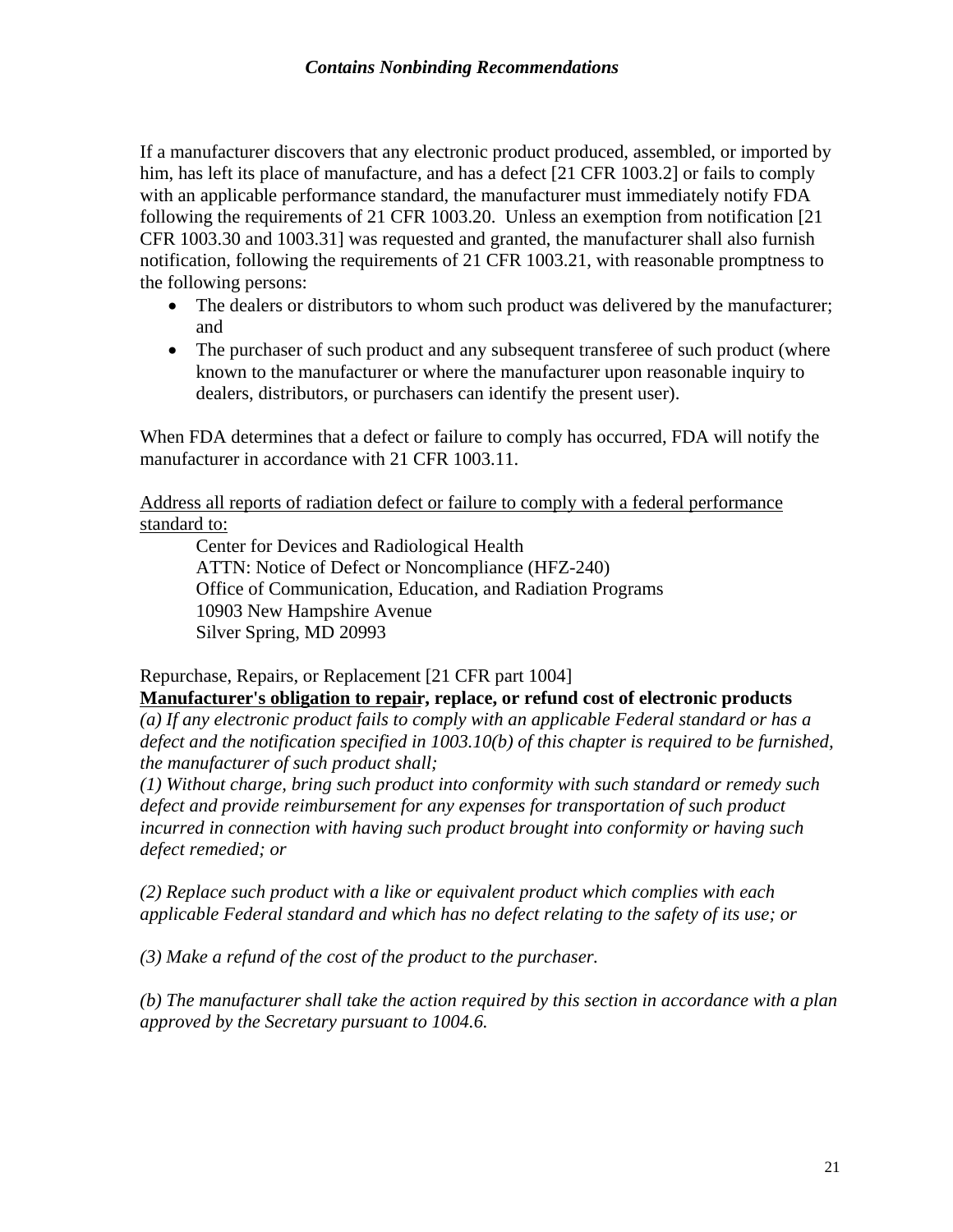If a manufacturer discovers that any electronic product produced, assembled, or imported by him, has left its place of manufacture, and has a defect [21 CFR 1003.2] or fails to comply with an applicable performance standard, the manufacturer must immediately notify FDA following the requirements of 21 CFR 1003.20. Unless an exemption from notification [21 CFR 1003.30 and 1003.31] was requested and granted, the manufacturer shall also furnish notification, following the requirements of 21 CFR 1003.21, with reasonable promptness to the following persons:

- The dealers or distributors to whom such product was delivered by the manufacturer; and
- The purchaser of such product and any subsequent transferee of such product (where known to the manufacturer or where the manufacturer upon reasonable inquiry to dealers, distributors, or purchasers can identify the present user).

When FDA determines that a defect or failure to comply has occurred, FDA will notify the manufacturer in accordance with 21 CFR 1003.11.

Address all reports of radiation defect or failure to comply with a federal performance standard to:

Center for Devices and Radiological Health ATTN: Notice of Defect or Noncompliance (HFZ-240) Office of Communication, Education, and Radiation Programs 10903 New Hampshire Avenue Silver Spring, MD 20993

#### Repurchase, Repairs, or Replacement [21 CFR part 1004]

**Manufacturer's obligation to repair, replace, or refund cost of electronic products**  *(a) If any electronic product fails to comply with an applicable Federal standard or has a defect and the notification specified in 1003.10(b) of this chapter is required to be furnished, the manufacturer of such product shall;* 

*(1) Without charge, bring such product into conformity with such standard or remedy such defect and provide reimbursement for any expenses for transportation of such product incurred in connection with having such product brought into conformity or having such defect remedied; or* 

*(2) Replace such product with a like or equivalent product which complies with each applicable Federal standard and which has no defect relating to the safety of its use; or* 

*(3) Make a refund of the cost of the product to the purchaser.* 

*(b) The manufacturer shall take the action required by this section in accordance with a plan approved by the Secretary pursuant to 1004.6.*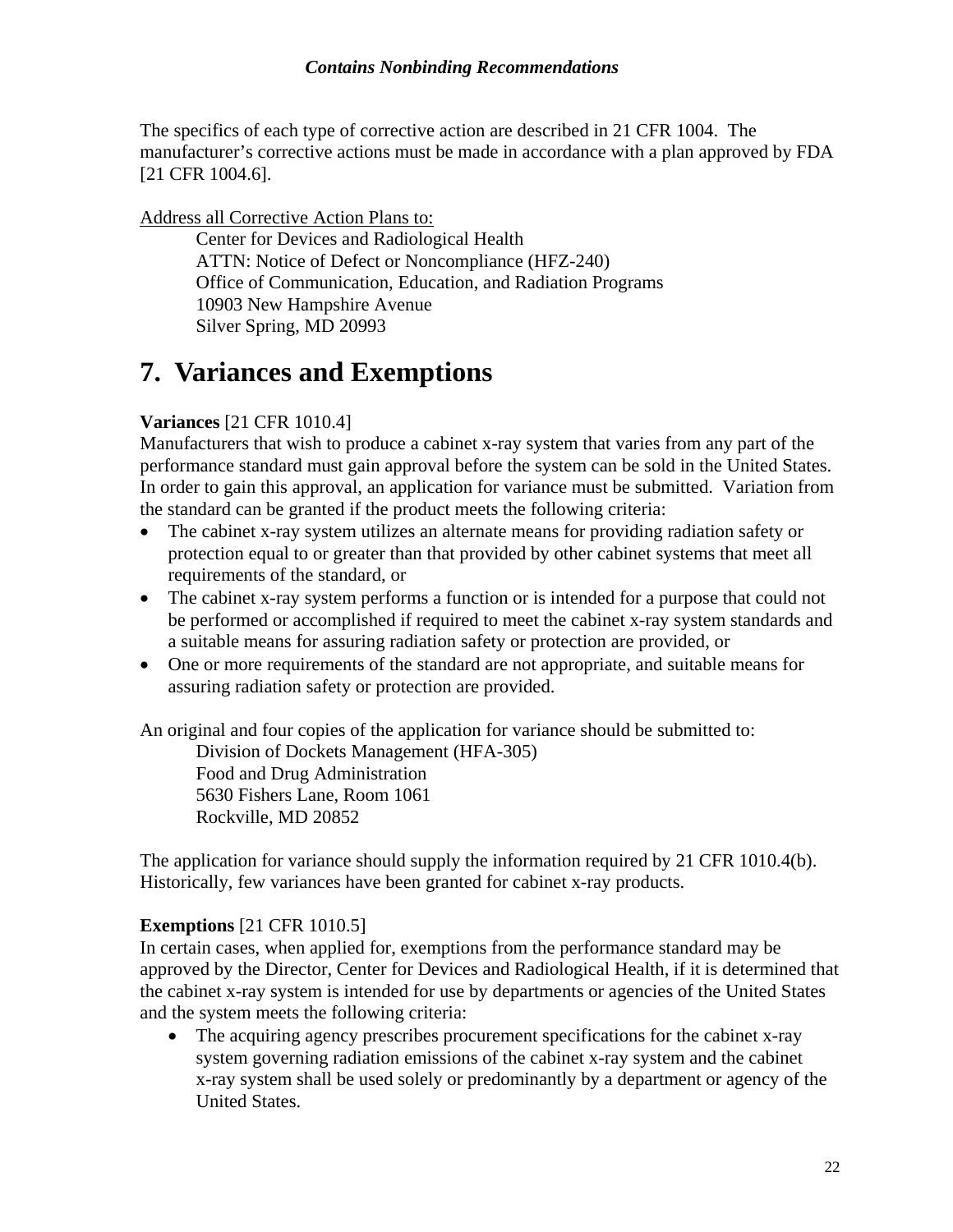<span id="page-24-0"></span>The specifics of each type of corrective action are described in 21 CFR 1004. The manufacturer's corrective actions must be made in accordance with a plan approved by FDA [21 CFR 1004.6].

#### Address all Corrective Action Plans to:

Center for Devices and Radiological Health ATTN: Notice of Defect or Noncompliance (HFZ-240) Office of Communication, Education, and Radiation Programs 10903 New Hampshire Avenue Silver Spring, MD 20993

### **7. Variances and Exemptions**

#### **Variances** [21 CFR 1010.4]

Manufacturers that wish to produce a cabinet x-ray system that varies from any part of the performance standard must gain approval before the system can be sold in the United States. In order to gain this approval, an application for variance must be submitted. Variation from the standard can be granted if the product meets the following criteria:

- The cabinet x-ray system utilizes an alternate means for providing radiation safety or protection equal to or greater than that provided by other cabinet systems that meet all requirements of the standard, or
- The cabinet x-ray system performs a function or is intended for a purpose that could not be performed or accomplished if required to meet the cabinet x-ray system standards and a suitable means for assuring radiation safety or protection are provided, or
- One or more requirements of the standard are not appropriate, and suitable means for assuring radiation safety or protection are provided.

An original and four copies of the application for variance should be submitted to:

Division of Dockets Management (HFA-305) Food and Drug Administration 5630 Fishers Lane, Room 1061 Rockville, MD 20852

The application for variance should supply the information required by 21 CFR 1010.4(b). Historically, few variances have been granted for cabinet x-ray products.

#### **Exemptions** [21 CFR 1010.5]

In certain cases, when applied for, exemptions from the performance standard may be approved by the Director, Center for Devices and Radiological Health, if it is determined that the cabinet x-ray system is intended for use by departments or agencies of the United States and the system meets the following criteria:

• The acquiring agency prescribes procurement specifications for the cabinet x-ray system governing radiation emissions of the cabinet x-ray system and the cabinet x-ray system shall be used solely or predominantly by a department or agency of the United States.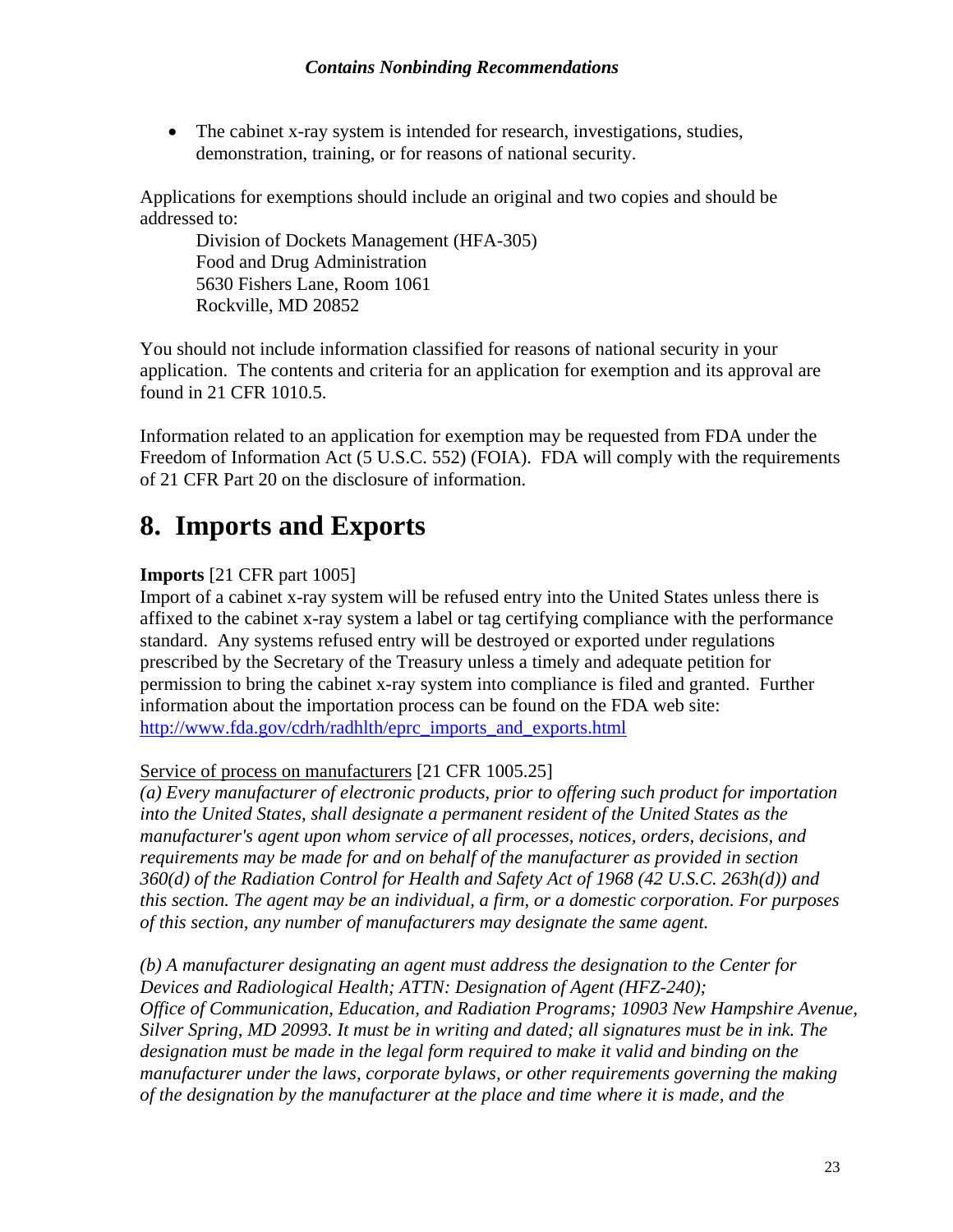<span id="page-25-0"></span>• The cabinet x-ray system is intended for research, investigations, studies, demonstration, training, or for reasons of national security.

Applications for exemptions should include an original and two copies and should be addressed to:

Division of Dockets Management (HFA-305) Food and Drug Administration 5630 Fishers Lane, Room 1061 Rockville, MD 20852

You should not include information classified for reasons of national security in your application. The contents and criteria for an application for exemption and its approval are found in 21 CFR 1010.5.

Information related to an application for exemption may be requested from FDA under the Freedom of Information Act (5 U.S.C. 552) (FOIA). FDA will comply with the requirements of 21 CFR Part 20 on the disclosure of information.

## **8. Imports and Exports**

#### **Imports** [21 CFR part 1005]

Import of a cabinet x-ray system will be refused entry into the United States unless there is affixed to the cabinet x-ray system a label or tag certifying compliance with the performance standard. Any systems refused entry will be destroyed or exported under regulations prescribed by the Secretary of the Treasury unless a timely and adequate petition for permission to bring the cabinet x-ray system into compliance is filed and granted. Further information about the importation process can be found on the FDA web site: [http://www.fda.gov/cdrh/radhlth/eprc\\_imports\\_and\\_exports.html](http://www.fda.gov/cdrh/radhlth/eprc_imports_and_exports.html)

#### Service of process on manufacturers [21 CFR 1005.25]

*(a) Every manufacturer of electronic products, prior to offering such product for importation into the United States, shall designate a permanent resident of the United States as the manufacturer's agent upon whom service of all processes, notices, orders, decisions, and requirements may be made for and on behalf of the manufacturer as provided in section 360(d) of the Radiation Control for Health and Safety Act of 1968 (42 U.S.C. 263h(d)) and this section. The agent may be an individual, a firm, or a domestic corporation. For purposes of this section, any number of manufacturers may designate the same agent.* 

*(b) A manufacturer designating an agent must address the designation to the Center for Devices and Radiological Health; ATTN: Designation of Agent (HFZ-240); Office of Communication, Education, and Radiation Programs; 10903 New Hampshire Avenue, Silver Spring, MD 20993. It must be in writing and dated; all signatures must be in ink. The designation must be made in the legal form required to make it valid and binding on the manufacturer under the laws, corporate bylaws, or other requirements governing the making of the designation by the manufacturer at the place and time where it is made, and the*